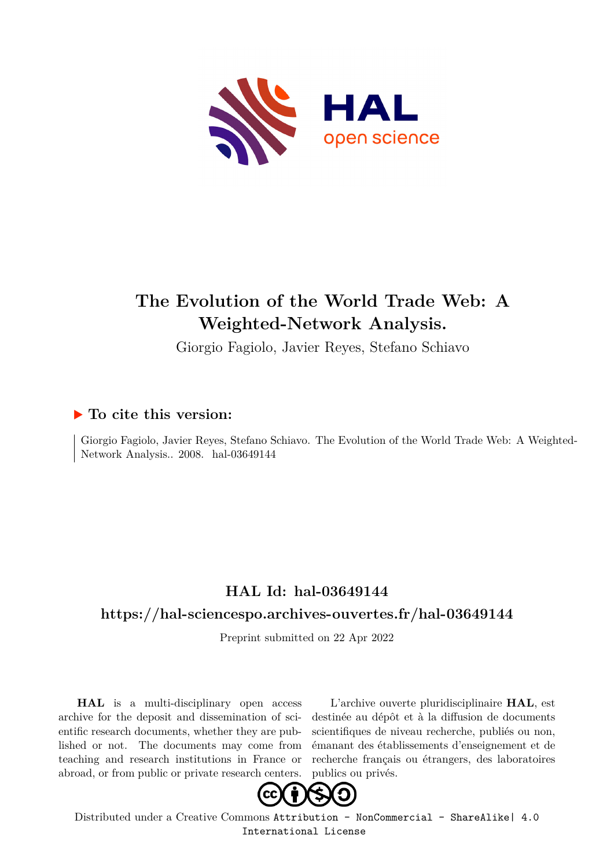

# **The Evolution of the World Trade Web: A Weighted-Network Analysis.**

Giorgio Fagiolo, Javier Reyes, Stefano Schiavo

# **To cite this version:**

Giorgio Fagiolo, Javier Reyes, Stefano Schiavo. The Evolution of the World Trade Web: A Weighted-Network Analysis.. 2008. hal-03649144

# **HAL Id: hal-03649144**

# **<https://hal-sciencespo.archives-ouvertes.fr/hal-03649144>**

Preprint submitted on 22 Apr 2022

**HAL** is a multi-disciplinary open access archive for the deposit and dissemination of scientific research documents, whether they are published or not. The documents may come from teaching and research institutions in France or abroad, or from public or private research centers.

L'archive ouverte pluridisciplinaire **HAL**, est destinée au dépôt et à la diffusion de documents scientifiques de niveau recherche, publiés ou non, émanant des établissements d'enseignement et de recherche français ou étrangers, des laboratoires publics ou privés.



Distributed under a Creative Commons [Attribution - NonCommercial - ShareAlike| 4.0](http://creativecommons.org/licenses/by-nc-sa/4.0/) [International License](http://creativecommons.org/licenses/by-nc-sa/4.0/)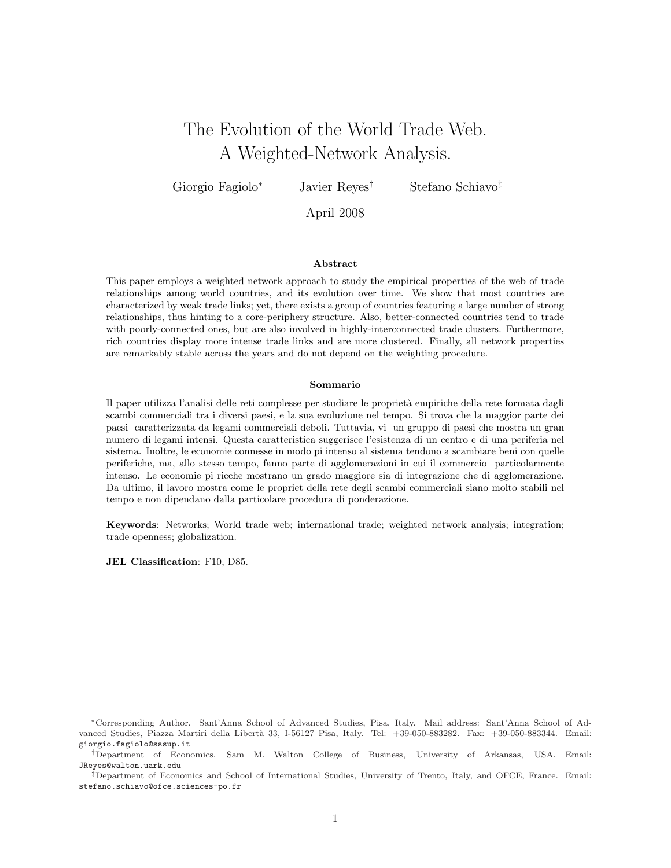# The Evolution of the World Trade Web. A Weighted-Network Analysis.

Giorgio Fagiolo<sup>∗</sup> Javier Reyes† Stefano Schiavo‡

April 2008

#### Abstract

This paper employs a weighted network approach to study the empirical properties of the web of trade relationships among world countries, and its evolution over time. We show that most countries are characterized by weak trade links; yet, there exists a group of countries featuring a large number of strong relationships, thus hinting to a core-periphery structure. Also, better-connected countries tend to trade with poorly-connected ones, but are also involved in highly-interconnected trade clusters. Furthermore, rich countries display more intense trade links and are more clustered. Finally, all network properties are remarkably stable across the years and do not depend on the weighting procedure.

#### Sommario

Il paper utilizza l'analisi delle reti complesse per studiare le proprietà empiriche della rete formata dagli scambi commerciali tra i diversi paesi, e la sua evoluzione nel tempo. Si trova che la maggior parte dei paesi caratterizzata da legami commerciali deboli. Tuttavia, vi un gruppo di paesi che mostra un gran numero di legami intensi. Questa caratteristica suggerisce l'esistenza di un centro e di una periferia nel sistema. Inoltre, le economie connesse in modo pi intenso al sistema tendono a scambiare beni con quelle periferiche, ma, allo stesso tempo, fanno parte di agglomerazioni in cui il commercio particolarmente intenso. Le economie pi ricche mostrano un grado maggiore sia di integrazione che di agglomerazione. Da ultimo, il lavoro mostra come le propriet della rete degli scambi commerciali siano molto stabili nel tempo e non dipendano dalla particolare procedura di ponderazione.

Keywords: Networks; World trade web; international trade; weighted network analysis; integration; trade openness; globalization.

JEL Classification: F10, D85.

<sup>∗</sup>Corresponding Author. Sant'Anna School of Advanced Studies, Pisa, Italy. Mail address: Sant'Anna School of Advanced Studies, Piazza Martiri della Libert`a 33, I-56127 Pisa, Italy. Tel: +39-050-883282. Fax: +39-050-883344. Email: giorgio.fagiolo@sssup.it

<sup>†</sup>Department of Economics, Sam M. Walton College of Business, University of Arkansas, USA. Email: JReyes@walton.uark.edu

<sup>‡</sup>Department of Economics and School of International Studies, University of Trento, Italy, and OFCE, France. Email: stefano.schiavo@ofce.sciences-po.fr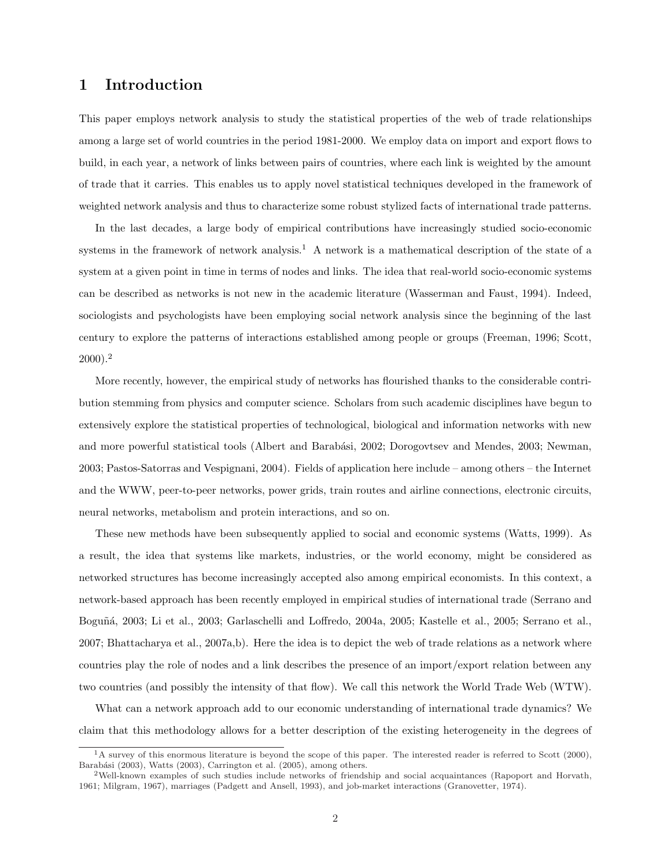## 1 Introduction

This paper employs network analysis to study the statistical properties of the web of trade relationships among a large set of world countries in the period 1981-2000. We employ data on import and export flows to build, in each year, a network of links between pairs of countries, where each link is weighted by the amount of trade that it carries. This enables us to apply novel statistical techniques developed in the framework of weighted network analysis and thus to characterize some robust stylized facts of international trade patterns.

In the last decades, a large body of empirical contributions have increasingly studied socio-economic systems in the framework of network analysis.<sup>1</sup> A network is a mathematical description of the state of a system at a given point in time in terms of nodes and links. The idea that real-world socio-economic systems can be described as networks is not new in the academic literature (Wasserman and Faust, 1994). Indeed, sociologists and psychologists have been employing social network analysis since the beginning of the last century to explore the patterns of interactions established among people or groups (Freeman, 1996; Scott,  $2000$ ).<sup>2</sup>

More recently, however, the empirical study of networks has flourished thanks to the considerable contribution stemming from physics and computer science. Scholars from such academic disciplines have begun to extensively explore the statistical properties of technological, biological and information networks with new and more powerful statistical tools (Albert and Barabási, 2002; Dorogovtsev and Mendes, 2003; Newman, 2003; Pastos-Satorras and Vespignani, 2004). Fields of application here include – among others – the Internet and the WWW, peer-to-peer networks, power grids, train routes and airline connections, electronic circuits, neural networks, metabolism and protein interactions, and so on.

These new methods have been subsequently applied to social and economic systems (Watts, 1999). As a result, the idea that systems like markets, industries, or the world economy, might be considered as networked structures has become increasingly accepted also among empirical economists. In this context, a network-based approach has been recently employed in empirical studies of international trade (Serrano and Boguñá, 2003; Li et al., 2003; Garlaschelli and Loffredo, 2004a, 2005; Kastelle et al., 2005; Serrano et al., 2007; Bhattacharya et al., 2007a,b). Here the idea is to depict the web of trade relations as a network where countries play the role of nodes and a link describes the presence of an import/export relation between any two countries (and possibly the intensity of that flow). We call this network the World Trade Web (WTW).

What can a network approach add to our economic understanding of international trade dynamics? We claim that this methodology allows for a better description of the existing heterogeneity in the degrees of

 $1A$  survey of this enormous literature is beyond the scope of this paper. The interested reader is referred to Scott (2000), Barabási (2003), Watts (2003), Carrington et al. (2005), among others.

<sup>2</sup>Well-known examples of such studies include networks of friendship and social acquaintances (Rapoport and Horvath, 1961; Milgram, 1967), marriages (Padgett and Ansell, 1993), and job-market interactions (Granovetter, 1974).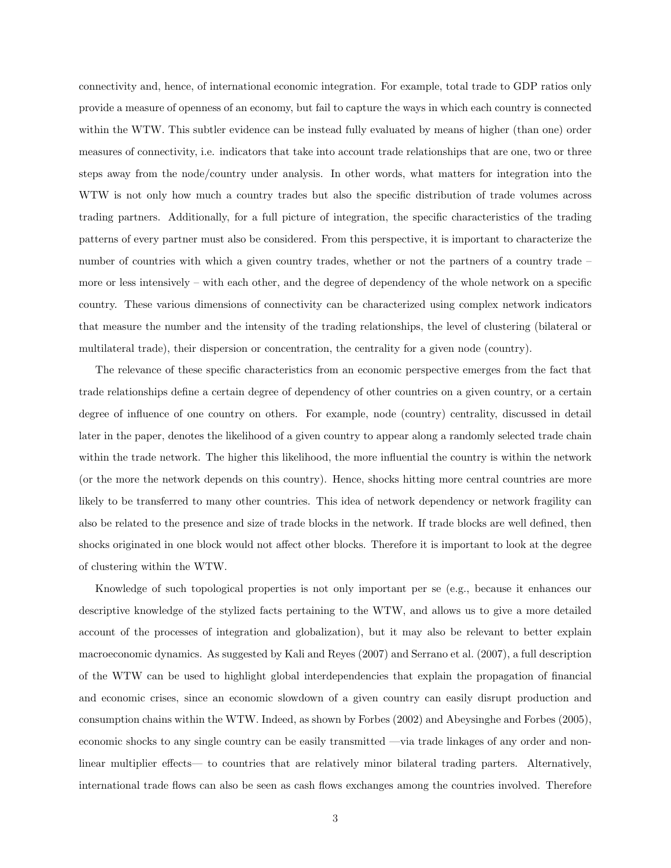connectivity and, hence, of international economic integration. For example, total trade to GDP ratios only provide a measure of openness of an economy, but fail to capture the ways in which each country is connected within the WTW. This subtler evidence can be instead fully evaluated by means of higher (than one) order measures of connectivity, i.e. indicators that take into account trade relationships that are one, two or three steps away from the node/country under analysis. In other words, what matters for integration into the WTW is not only how much a country trades but also the specific distribution of trade volumes across trading partners. Additionally, for a full picture of integration, the specific characteristics of the trading patterns of every partner must also be considered. From this perspective, it is important to characterize the number of countries with which a given country trades, whether or not the partners of a country trade – more or less intensively – with each other, and the degree of dependency of the whole network on a specific country. These various dimensions of connectivity can be characterized using complex network indicators that measure the number and the intensity of the trading relationships, the level of clustering (bilateral or multilateral trade), their dispersion or concentration, the centrality for a given node (country).

The relevance of these specific characteristics from an economic perspective emerges from the fact that trade relationships define a certain degree of dependency of other countries on a given country, or a certain degree of influence of one country on others. For example, node (country) centrality, discussed in detail later in the paper, denotes the likelihood of a given country to appear along a randomly selected trade chain within the trade network. The higher this likelihood, the more influential the country is within the network (or the more the network depends on this country). Hence, shocks hitting more central countries are more likely to be transferred to many other countries. This idea of network dependency or network fragility can also be related to the presence and size of trade blocks in the network. If trade blocks are well defined, then shocks originated in one block would not affect other blocks. Therefore it is important to look at the degree of clustering within the WTW.

Knowledge of such topological properties is not only important per se (e.g., because it enhances our descriptive knowledge of the stylized facts pertaining to the WTW, and allows us to give a more detailed account of the processes of integration and globalization), but it may also be relevant to better explain macroeconomic dynamics. As suggested by Kali and Reyes (2007) and Serrano et al. (2007), a full description of the WTW can be used to highlight global interdependencies that explain the propagation of financial and economic crises, since an economic slowdown of a given country can easily disrupt production and consumption chains within the WTW. Indeed, as shown by Forbes (2002) and Abeysinghe and Forbes (2005), economic shocks to any single country can be easily transmitted —via trade linkages of any order and nonlinear multiplier effects— to countries that are relatively minor bilateral trading parters. Alternatively, international trade flows can also be seen as cash flows exchanges among the countries involved. Therefore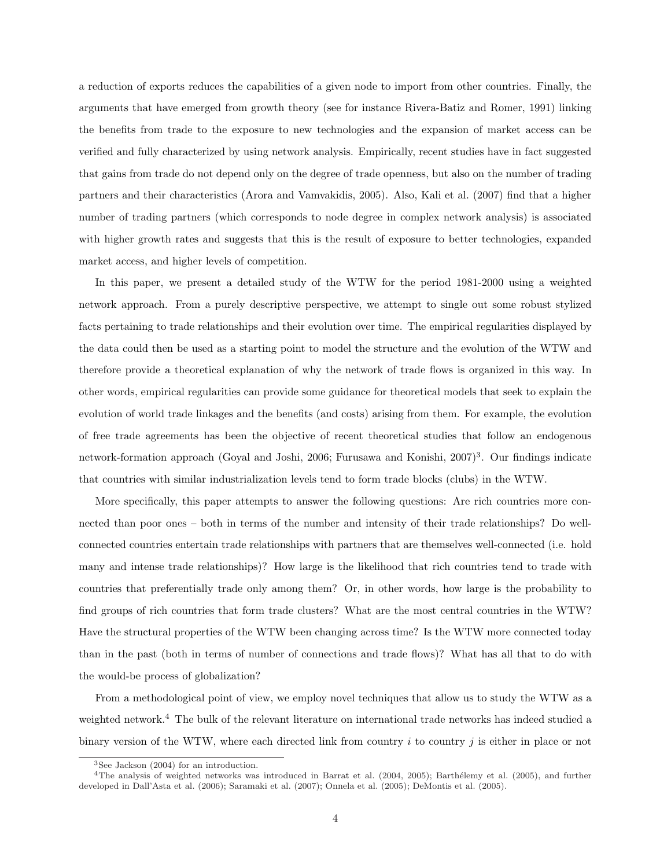a reduction of exports reduces the capabilities of a given node to import from other countries. Finally, the arguments that have emerged from growth theory (see for instance Rivera-Batiz and Romer, 1991) linking the benefits from trade to the exposure to new technologies and the expansion of market access can be verified and fully characterized by using network analysis. Empirically, recent studies have in fact suggested that gains from trade do not depend only on the degree of trade openness, but also on the number of trading partners and their characteristics (Arora and Vamvakidis, 2005). Also, Kali et al. (2007) find that a higher number of trading partners (which corresponds to node degree in complex network analysis) is associated with higher growth rates and suggests that this is the result of exposure to better technologies, expanded market access, and higher levels of competition.

In this paper, we present a detailed study of the WTW for the period 1981-2000 using a weighted network approach. From a purely descriptive perspective, we attempt to single out some robust stylized facts pertaining to trade relationships and their evolution over time. The empirical regularities displayed by the data could then be used as a starting point to model the structure and the evolution of the WTW and therefore provide a theoretical explanation of why the network of trade flows is organized in this way. In other words, empirical regularities can provide some guidance for theoretical models that seek to explain the evolution of world trade linkages and the benefits (and costs) arising from them. For example, the evolution of free trade agreements has been the objective of recent theoretical studies that follow an endogenous network-formation approach (Goyal and Joshi, 2006; Furusawa and Konishi, 2007)<sup>3</sup>. Our findings indicate that countries with similar industrialization levels tend to form trade blocks (clubs) in the WTW.

More specifically, this paper attempts to answer the following questions: Are rich countries more connected than poor ones – both in terms of the number and intensity of their trade relationships? Do wellconnected countries entertain trade relationships with partners that are themselves well-connected (i.e. hold many and intense trade relationships)? How large is the likelihood that rich countries tend to trade with countries that preferentially trade only among them? Or, in other words, how large is the probability to find groups of rich countries that form trade clusters? What are the most central countries in the WTW? Have the structural properties of the WTW been changing across time? Is the WTW more connected today than in the past (both in terms of number of connections and trade flows)? What has all that to do with the would-be process of globalization?

From a methodological point of view, we employ novel techniques that allow us to study the WTW as a weighted network.<sup>4</sup> The bulk of the relevant literature on international trade networks has indeed studied a binary version of the WTW, where each directed link from country  $i$  to country  $j$  is either in place or not

<sup>3</sup>See Jackson (2004) for an introduction.

<sup>&</sup>lt;sup>4</sup>The analysis of weighted networks was introduced in Barrat et al. (2004, 2005); Barthélemy et al. (2005), and further developed in Dall'Asta et al. (2006); Saramaki et al. (2007); Onnela et al. (2005); DeMontis et al. (2005).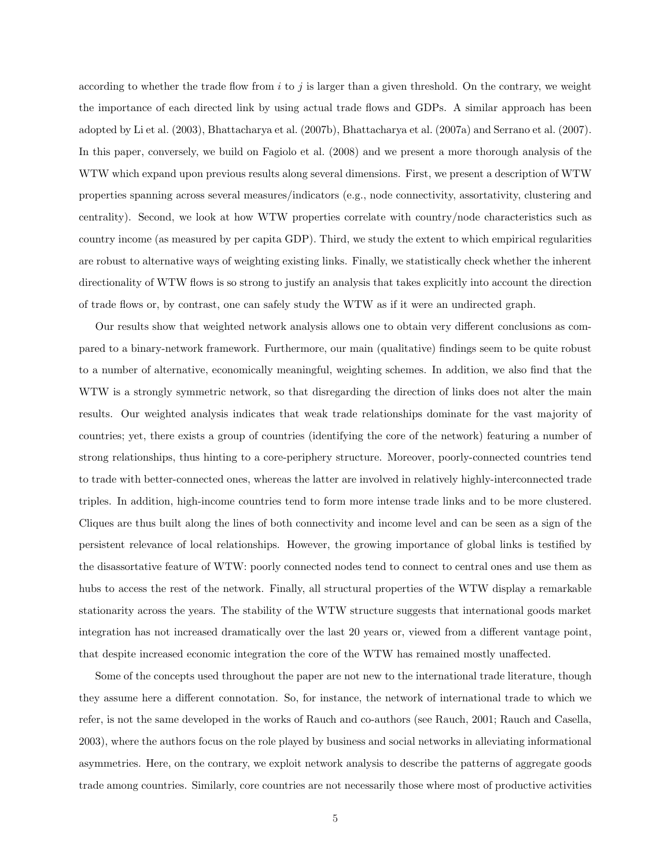according to whether the trade flow from i to j is larger than a given threshold. On the contrary, we weight the importance of each directed link by using actual trade flows and GDPs. A similar approach has been adopted by Li et al. (2003), Bhattacharya et al. (2007b), Bhattacharya et al. (2007a) and Serrano et al. (2007). In this paper, conversely, we build on Fagiolo et al. (2008) and we present a more thorough analysis of the WTW which expand upon previous results along several dimensions. First, we present a description of WTW properties spanning across several measures/indicators (e.g., node connectivity, assortativity, clustering and centrality). Second, we look at how WTW properties correlate with country/node characteristics such as country income (as measured by per capita GDP). Third, we study the extent to which empirical regularities are robust to alternative ways of weighting existing links. Finally, we statistically check whether the inherent directionality of WTW flows is so strong to justify an analysis that takes explicitly into account the direction of trade flows or, by contrast, one can safely study the WTW as if it were an undirected graph.

Our results show that weighted network analysis allows one to obtain very different conclusions as compared to a binary-network framework. Furthermore, our main (qualitative) findings seem to be quite robust to a number of alternative, economically meaningful, weighting schemes. In addition, we also find that the WTW is a strongly symmetric network, so that disregarding the direction of links does not alter the main results. Our weighted analysis indicates that weak trade relationships dominate for the vast majority of countries; yet, there exists a group of countries (identifying the core of the network) featuring a number of strong relationships, thus hinting to a core-periphery structure. Moreover, poorly-connected countries tend to trade with better-connected ones, whereas the latter are involved in relatively highly-interconnected trade triples. In addition, high-income countries tend to form more intense trade links and to be more clustered. Cliques are thus built along the lines of both connectivity and income level and can be seen as a sign of the persistent relevance of local relationships. However, the growing importance of global links is testified by the disassortative feature of WTW: poorly connected nodes tend to connect to central ones and use them as hubs to access the rest of the network. Finally, all structural properties of the WTW display a remarkable stationarity across the years. The stability of the WTW structure suggests that international goods market integration has not increased dramatically over the last 20 years or, viewed from a different vantage point, that despite increased economic integration the core of the WTW has remained mostly unaffected.

Some of the concepts used throughout the paper are not new to the international trade literature, though they assume here a different connotation. So, for instance, the network of international trade to which we refer, is not the same developed in the works of Rauch and co-authors (see Rauch, 2001; Rauch and Casella, 2003), where the authors focus on the role played by business and social networks in alleviating informational asymmetries. Here, on the contrary, we exploit network analysis to describe the patterns of aggregate goods trade among countries. Similarly, core countries are not necessarily those where most of productive activities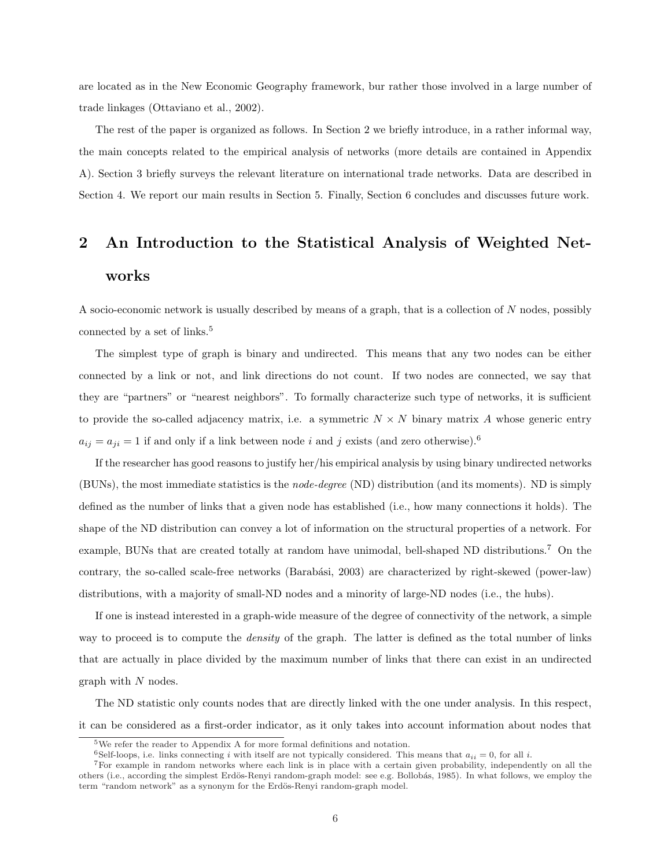are located as in the New Economic Geography framework, bur rather those involved in a large number of trade linkages (Ottaviano et al., 2002).

The rest of the paper is organized as follows. In Section 2 we briefly introduce, in a rather informal way, the main concepts related to the empirical analysis of networks (more details are contained in Appendix A). Section 3 briefly surveys the relevant literature on international trade networks. Data are described in Section 4. We report our main results in Section 5. Finally, Section 6 concludes and discusses future work.

# 2 An Introduction to the Statistical Analysis of Weighted Networks

A socio-economic network is usually described by means of a graph, that is a collection of N nodes, possibly connected by a set of links.<sup>5</sup>

The simplest type of graph is binary and undirected. This means that any two nodes can be either connected by a link or not, and link directions do not count. If two nodes are connected, we say that they are "partners" or "nearest neighbors". To formally characterize such type of networks, it is sufficient to provide the so-called adjacency matrix, i.e. a symmetric  $N \times N$  binary matrix A whose generic entry  $a_{ij} = a_{ji} = 1$  if and only if a link between node i and j exists (and zero otherwise).<sup>6</sup>

If the researcher has good reasons to justify her/his empirical analysis by using binary undirected networks (BUNs), the most immediate statistics is the node-degree (ND) distribution (and its moments). ND is simply defined as the number of links that a given node has established (i.e., how many connections it holds). The shape of the ND distribution can convey a lot of information on the structural properties of a network. For example, BUNs that are created totally at random have unimodal, bell-shaped ND distributions.<sup>7</sup> On the contrary, the so-called scale-free networks (Barabási, 2003) are characterized by right-skewed (power-law) distributions, with a majority of small-ND nodes and a minority of large-ND nodes (i.e., the hubs).

If one is instead interested in a graph-wide measure of the degree of connectivity of the network, a simple way to proceed is to compute the *density* of the graph. The latter is defined as the total number of links that are actually in place divided by the maximum number of links that there can exist in an undirected graph with N nodes.

The ND statistic only counts nodes that are directly linked with the one under analysis. In this respect, it can be considered as a first-order indicator, as it only takes into account information about nodes that

<sup>&</sup>lt;sup>5</sup>We refer the reader to Appendix A for more formal definitions and notation.

<sup>&</sup>lt;sup>6</sup>Self-loops, i.e. links connecting i with itself are not typically considered. This means that  $a_{ii} = 0$ , for all i.

<sup>7</sup>For example in random networks where each link is in place with a certain given probability, independently on all the others (i.e., according the simplest Erdös-Renyi random-graph model: see e.g. Bollobás, 1985). In what follows, we employ the term "random network" as a synonym for the Erdös-Renyi random-graph model.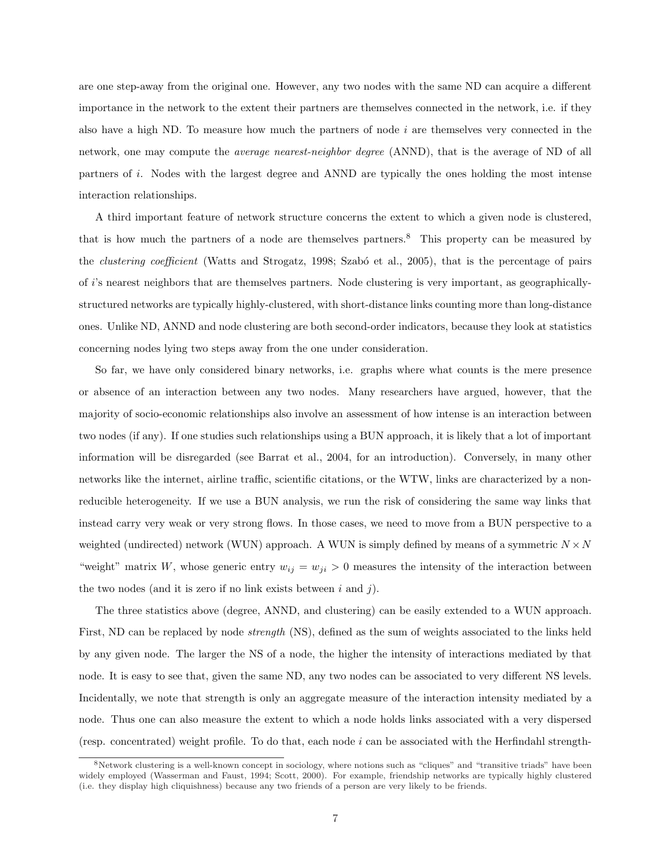are one step-away from the original one. However, any two nodes with the same ND can acquire a different importance in the network to the extent their partners are themselves connected in the network, i.e. if they also have a high ND. To measure how much the partners of node  $i$  are themselves very connected in the network, one may compute the average nearest-neighbor degree (ANND), that is the average of ND of all partners of i. Nodes with the largest degree and ANND are typically the ones holding the most intense interaction relationships.

A third important feature of network structure concerns the extent to which a given node is clustered, that is how much the partners of a node are themselves partners.<sup>8</sup> This property can be measured by the *clustering coefficient* (Watts and Strogatz, 1998; Szabó et al., 2005), that is the percentage of pairs of i's nearest neighbors that are themselves partners. Node clustering is very important, as geographicallystructured networks are typically highly-clustered, with short-distance links counting more than long-distance ones. Unlike ND, ANND and node clustering are both second-order indicators, because they look at statistics concerning nodes lying two steps away from the one under consideration.

So far, we have only considered binary networks, i.e. graphs where what counts is the mere presence or absence of an interaction between any two nodes. Many researchers have argued, however, that the majority of socio-economic relationships also involve an assessment of how intense is an interaction between two nodes (if any). If one studies such relationships using a BUN approach, it is likely that a lot of important information will be disregarded (see Barrat et al., 2004, for an introduction). Conversely, in many other networks like the internet, airline traffic, scientific citations, or the WTW, links are characterized by a nonreducible heterogeneity. If we use a BUN analysis, we run the risk of considering the same way links that instead carry very weak or very strong flows. In those cases, we need to move from a BUN perspective to a weighted (undirected) network (WUN) approach. A WUN is simply defined by means of a symmetric  $N \times N$ "weight" matrix W, whose generic entry  $w_{ij} = w_{ji} > 0$  measures the intensity of the interaction between the two nodes (and it is zero if no link exists between  $i$  and  $j$ ).

The three statistics above (degree, ANND, and clustering) can be easily extended to a WUN approach. First, ND can be replaced by node strength (NS), defined as the sum of weights associated to the links held by any given node. The larger the NS of a node, the higher the intensity of interactions mediated by that node. It is easy to see that, given the same ND, any two nodes can be associated to very different NS levels. Incidentally, we note that strength is only an aggregate measure of the interaction intensity mediated by a node. Thus one can also measure the extent to which a node holds links associated with a very dispersed (resp. concentrated) weight profile. To do that, each node i can be associated with the Herfindahl strength-

<sup>&</sup>lt;sup>8</sup>Network clustering is a well-known concept in sociology, where notions such as "cliques" and "transitive triads" have been widely employed (Wasserman and Faust, 1994; Scott, 2000). For example, friendship networks are typically highly clustered (i.e. they display high cliquishness) because any two friends of a person are very likely to be friends.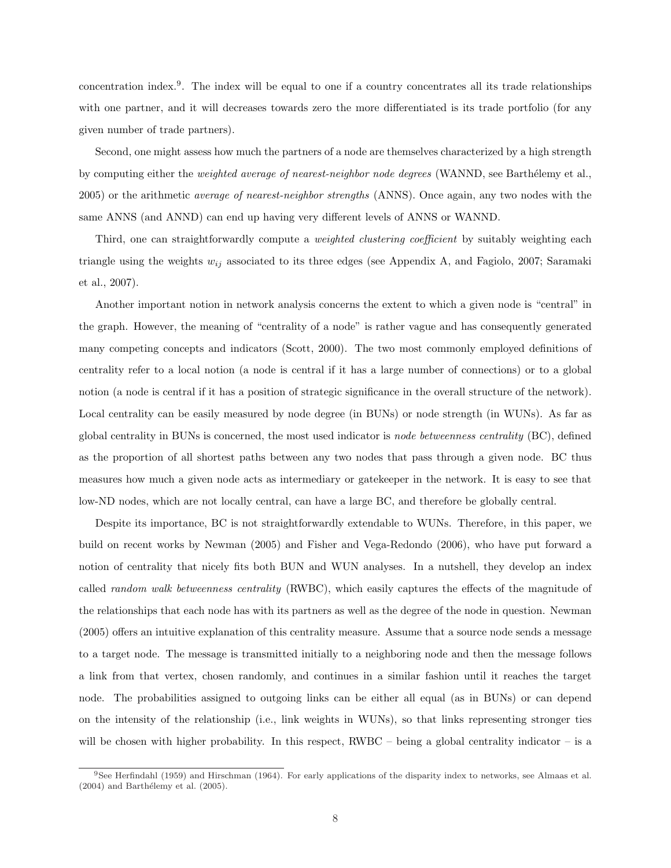concentration index.<sup>9</sup>. The index will be equal to one if a country concentrates all its trade relationships with one partner, and it will decreases towards zero the more differentiated is its trade portfolio (for any given number of trade partners).

Second, one might assess how much the partners of a node are themselves characterized by a high strength by computing either the *weighted average of nearest-neighbor node degrees* (WANND, see Barthélemy et al., 2005) or the arithmetic average of nearest-neighbor strengths (ANNS). Once again, any two nodes with the same ANNS (and ANND) can end up having very different levels of ANNS or WANND.

Third, one can straightforwardly compute a *weighted clustering coefficient* by suitably weighting each triangle using the weights  $w_{ij}$  associated to its three edges (see Appendix A, and Fagiolo, 2007; Saramaki et al., 2007).

Another important notion in network analysis concerns the extent to which a given node is "central" in the graph. However, the meaning of "centrality of a node" is rather vague and has consequently generated many competing concepts and indicators (Scott, 2000). The two most commonly employed definitions of centrality refer to a local notion (a node is central if it has a large number of connections) or to a global notion (a node is central if it has a position of strategic significance in the overall structure of the network). Local centrality can be easily measured by node degree (in BUNs) or node strength (in WUNs). As far as global centrality in BUNs is concerned, the most used indicator is node betweenness centrality (BC), defined as the proportion of all shortest paths between any two nodes that pass through a given node. BC thus measures how much a given node acts as intermediary or gatekeeper in the network. It is easy to see that low-ND nodes, which are not locally central, can have a large BC, and therefore be globally central.

Despite its importance, BC is not straightforwardly extendable to WUNs. Therefore, in this paper, we build on recent works by Newman (2005) and Fisher and Vega-Redondo (2006), who have put forward a notion of centrality that nicely fits both BUN and WUN analyses. In a nutshell, they develop an index called random walk betweenness centrality (RWBC), which easily captures the effects of the magnitude of the relationships that each node has with its partners as well as the degree of the node in question. Newman (2005) offers an intuitive explanation of this centrality measure. Assume that a source node sends a message to a target node. The message is transmitted initially to a neighboring node and then the message follows a link from that vertex, chosen randomly, and continues in a similar fashion until it reaches the target node. The probabilities assigned to outgoing links can be either all equal (as in BUNs) or can depend on the intensity of the relationship (i.e., link weights in WUNs), so that links representing stronger ties will be chosen with higher probability. In this respect, RWBC – being a global centrality indicator – is a

<sup>9</sup>See Herfindahl (1959) and Hirschman (1964). For early applications of the disparity index to networks, see Almaas et al.  $(2004)$  and Barthélemy et al.  $(2005)$ .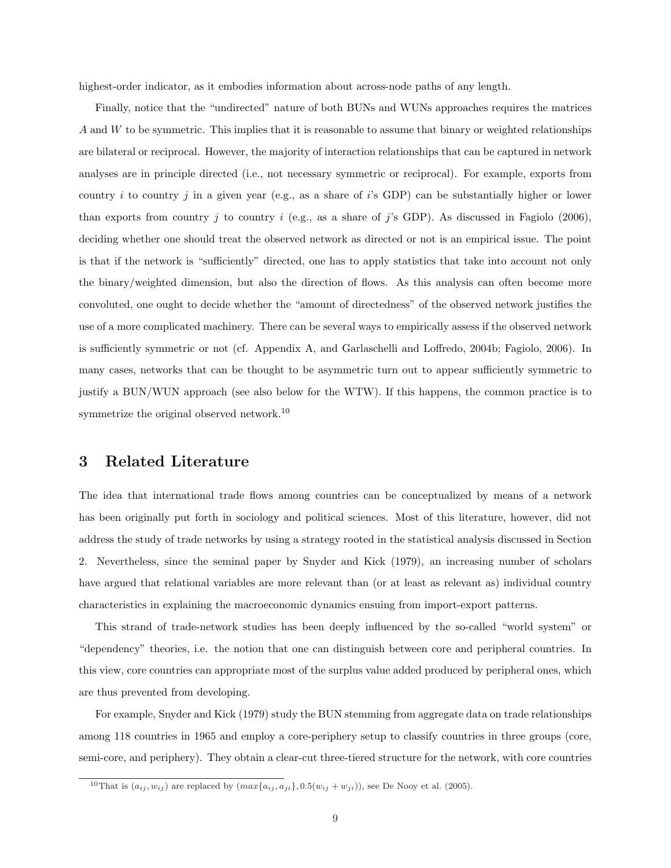highest-order indicator, as it embodies information about across-node paths of any length.

Finally, notice that the "undirected" nature of both BUNs and WUNs approaches requires the matrices A and  $W$  to be symmetric. This implies that it is reasonable to assume that binary or weighted relationships are bilateral or reciprocal. However, the majority of interaction relationships that can be captured in network analyses are in principle directed (i.e., not necessary symmetric or reciprocal). For example, exports from country i to country j in a given year (e.g., as a share of i's GDP) can be substantially higher or lower than exports from country j to country i (e.g., as a share of j's GDP). As discussed in Fagiolo (2006), deciding whether one should treat the observed network as directed or not is an empirical issue. The point is that if the network is "sufficiently" directed, one has to apply statistics that take into account not only the binary/weighted dimension, but also the direction of flows. As this analysis can often become more convoluted, one ought to decide whether the "amount of directedness" of the observed network justifies the use of a more complicated machinery. There can be several ways to empirically assess if the observed network is sufficiently symmetric or not (cf. Appendix A, and Garlaschelli and Loffredo, 2004b; Fagiolo, 2006). In many cases, networks that can be thought to be asymmetric turn out to appear sufficiently symmetric to justify a BUN/WUN approach (see also below for the WTW). If this happens, the common practice is to symmetrize the original observed network.<sup>10</sup>

### 3 Related Literature

The idea that international trade flows among countries can be conceptualized by means of a network has been originally put forth in sociology and political sciences. Most of this literature, however, did not address the study of trade networks by using a strategy rooted in the statistical analysis discussed in Section 2. Nevertheless, since the seminal paper by Snyder and Kick (1979), an increasing number of scholars have argued that relational variables are more relevant than (or at least as relevant as) individual country characteristics in explaining the macroeconomic dynamics ensuing from import-export patterns.

This strand of trade-network studies has been deeply influenced by the so-called "world system" or "dependency" theories, i.e. the notion that one can distinguish between core and peripheral countries. In this view, core countries can appropriate most of the surplus value added produced by peripheral ones, which are thus prevented from developing.

For example, Snyder and Kick (1979) study the BUN stemming from aggregate data on trade relationships among 118 countries in 1965 and employ a core-periphery setup to classify countries in three groups (core, semi-core, and periphery). They obtain a clear-cut three-tiered structure for the network, with core countries

<sup>&</sup>lt;sup>10</sup>That is  $(a_{ij}, w_{ij})$  are replaced by  $(max{a_{ij}, a_{ji}}$ , 0.5 $(w_{ij} + w_{ji})$ , see De Nooy et al. (2005).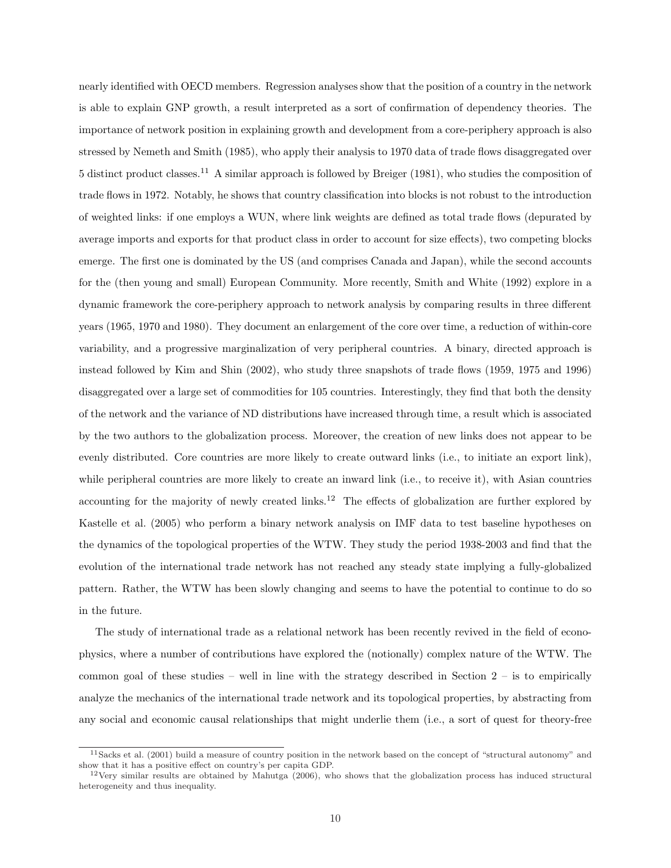nearly identified with OECD members. Regression analyses show that the position of a country in the network is able to explain GNP growth, a result interpreted as a sort of confirmation of dependency theories. The importance of network position in explaining growth and development from a core-periphery approach is also stressed by Nemeth and Smith (1985), who apply their analysis to 1970 data of trade flows disaggregated over 5 distinct product classes.<sup>11</sup> A similar approach is followed by Breiger (1981), who studies the composition of trade flows in 1972. Notably, he shows that country classification into blocks is not robust to the introduction of weighted links: if one employs a WUN, where link weights are defined as total trade flows (depurated by average imports and exports for that product class in order to account for size effects), two competing blocks emerge. The first one is dominated by the US (and comprises Canada and Japan), while the second accounts for the (then young and small) European Community. More recently, Smith and White (1992) explore in a dynamic framework the core-periphery approach to network analysis by comparing results in three different years (1965, 1970 and 1980). They document an enlargement of the core over time, a reduction of within-core variability, and a progressive marginalization of very peripheral countries. A binary, directed approach is instead followed by Kim and Shin (2002), who study three snapshots of trade flows (1959, 1975 and 1996) disaggregated over a large set of commodities for 105 countries. Interestingly, they find that both the density of the network and the variance of ND distributions have increased through time, a result which is associated by the two authors to the globalization process. Moreover, the creation of new links does not appear to be evenly distributed. Core countries are more likely to create outward links (i.e., to initiate an export link), while peripheral countries are more likely to create an inward link (i.e., to receive it), with Asian countries accounting for the majority of newly created links.<sup>12</sup> The effects of globalization are further explored by Kastelle et al. (2005) who perform a binary network analysis on IMF data to test baseline hypotheses on the dynamics of the topological properties of the WTW. They study the period 1938-2003 and find that the evolution of the international trade network has not reached any steady state implying a fully-globalized pattern. Rather, the WTW has been slowly changing and seems to have the potential to continue to do so in the future.

The study of international trade as a relational network has been recently revived in the field of econophysics, where a number of contributions have explored the (notionally) complex nature of the WTW. The common goal of these studies – well in line with the strategy described in Section  $2 -$  is to empirically analyze the mechanics of the international trade network and its topological properties, by abstracting from any social and economic causal relationships that might underlie them (i.e., a sort of quest for theory-free

<sup>&</sup>lt;sup>11</sup>Sacks et al. (2001) build a measure of country position in the network based on the concept of "structural autonomy" and show that it has a positive effect on country's per capita GDP.

 $12$ Very similar results are obtained by Mahutga (2006), who shows that the globalization process has induced structural heterogeneity and thus inequality.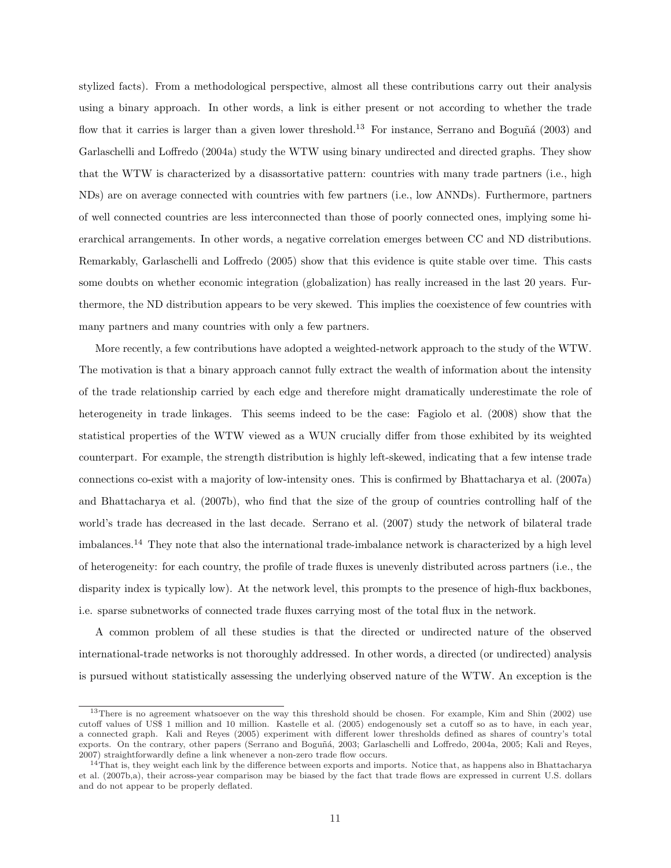stylized facts). From a methodological perspective, almost all these contributions carry out their analysis using a binary approach. In other words, a link is either present or not according to whether the trade flow that it carries is larger than a given lower threshold.<sup>13</sup> For instance, Serrano and Boguñá (2003) and Garlaschelli and Loffredo (2004a) study the WTW using binary undirected and directed graphs. They show that the WTW is characterized by a disassortative pattern: countries with many trade partners (i.e., high NDs) are on average connected with countries with few partners (i.e., low ANNDs). Furthermore, partners of well connected countries are less interconnected than those of poorly connected ones, implying some hierarchical arrangements. In other words, a negative correlation emerges between CC and ND distributions. Remarkably, Garlaschelli and Loffredo (2005) show that this evidence is quite stable over time. This casts some doubts on whether economic integration (globalization) has really increased in the last 20 years. Furthermore, the ND distribution appears to be very skewed. This implies the coexistence of few countries with many partners and many countries with only a few partners.

More recently, a few contributions have adopted a weighted-network approach to the study of the WTW. The motivation is that a binary approach cannot fully extract the wealth of information about the intensity of the trade relationship carried by each edge and therefore might dramatically underestimate the role of heterogeneity in trade linkages. This seems indeed to be the case: Fagiolo et al. (2008) show that the statistical properties of the WTW viewed as a WUN crucially differ from those exhibited by its weighted counterpart. For example, the strength distribution is highly left-skewed, indicating that a few intense trade connections co-exist with a majority of low-intensity ones. This is confirmed by Bhattacharya et al. (2007a) and Bhattacharya et al. (2007b), who find that the size of the group of countries controlling half of the world's trade has decreased in the last decade. Serrano et al. (2007) study the network of bilateral trade imbalances.<sup>14</sup> They note that also the international trade-imbalance network is characterized by a high level of heterogeneity: for each country, the profile of trade fluxes is unevenly distributed across partners (i.e., the disparity index is typically low). At the network level, this prompts to the presence of high-flux backbones, i.e. sparse subnetworks of connected trade fluxes carrying most of the total flux in the network.

A common problem of all these studies is that the directed or undirected nature of the observed international-trade networks is not thoroughly addressed. In other words, a directed (or undirected) analysis is pursued without statistically assessing the underlying observed nature of the WTW. An exception is the

<sup>&</sup>lt;sup>13</sup>There is no agreement whatsoever on the way this threshold should be chosen. For example, Kim and Shin (2002) use cutoff values of US\$ 1 million and 10 million. Kastelle et al. (2005) endogenously set a cutoff so as to have, in each year, a connected graph. Kali and Reyes (2005) experiment with different lower thresholds defined as shares of country's total exports. On the contrary, other papers (Serrano and Boguñá, 2003; Garlaschelli and Loffredo, 2004a, 2005; Kali and Reyes, 2007) straightforwardly define a link whenever a non-zero trade flow occurs.

 $14$ That is, they weight each link by the difference between exports and imports. Notice that, as happens also in Bhattacharya et al. (2007b,a), their across-year comparison may be biased by the fact that trade flows are expressed in current U.S. dollars and do not appear to be properly deflated.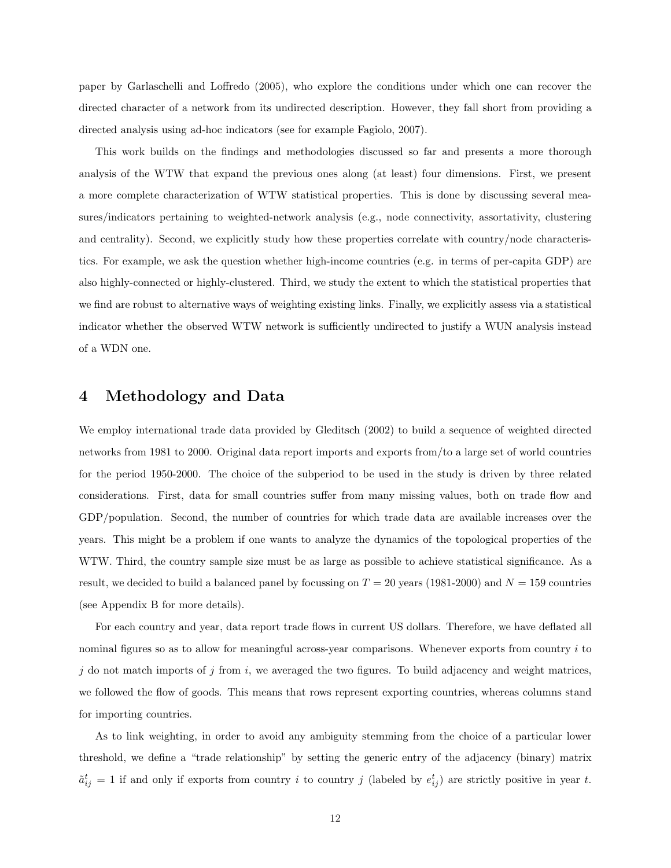paper by Garlaschelli and Loffredo (2005), who explore the conditions under which one can recover the directed character of a network from its undirected description. However, they fall short from providing a directed analysis using ad-hoc indicators (see for example Fagiolo, 2007).

This work builds on the findings and methodologies discussed so far and presents a more thorough analysis of the WTW that expand the previous ones along (at least) four dimensions. First, we present a more complete characterization of WTW statistical properties. This is done by discussing several measures/indicators pertaining to weighted-network analysis (e.g., node connectivity, assortativity, clustering and centrality). Second, we explicitly study how these properties correlate with country/node characteristics. For example, we ask the question whether high-income countries (e.g. in terms of per-capita GDP) are also highly-connected or highly-clustered. Third, we study the extent to which the statistical properties that we find are robust to alternative ways of weighting existing links. Finally, we explicitly assess via a statistical indicator whether the observed WTW network is sufficiently undirected to justify a WUN analysis instead of a WDN one.

### 4 Methodology and Data

We employ international trade data provided by Gleditsch (2002) to build a sequence of weighted directed networks from 1981 to 2000. Original data report imports and exports from/to a large set of world countries for the period 1950-2000. The choice of the subperiod to be used in the study is driven by three related considerations. First, data for small countries suffer from many missing values, both on trade flow and GDP/population. Second, the number of countries for which trade data are available increases over the years. This might be a problem if one wants to analyze the dynamics of the topological properties of the WTW. Third, the country sample size must be as large as possible to achieve statistical significance. As a result, we decided to build a balanced panel by focussing on  $T = 20$  years (1981-2000) and  $N = 159$  countries (see Appendix B for more details).

For each country and year, data report trade flows in current US dollars. Therefore, we have deflated all nominal figures so as to allow for meaningful across-year comparisons. Whenever exports from country i to  $j$  do not match imports of  $j$  from i, we averaged the two figures. To build adjacency and weight matrices, we followed the flow of goods. This means that rows represent exporting countries, whereas columns stand for importing countries.

As to link weighting, in order to avoid any ambiguity stemming from the choice of a particular lower threshold, we define a "trade relationship" by setting the generic entry of the adjacency (binary) matrix  $\tilde{a}_{ij}^t = 1$  if and only if exports from country *i* to country *j* (labeled by  $e_{ij}^t$ ) are strictly positive in year *t*.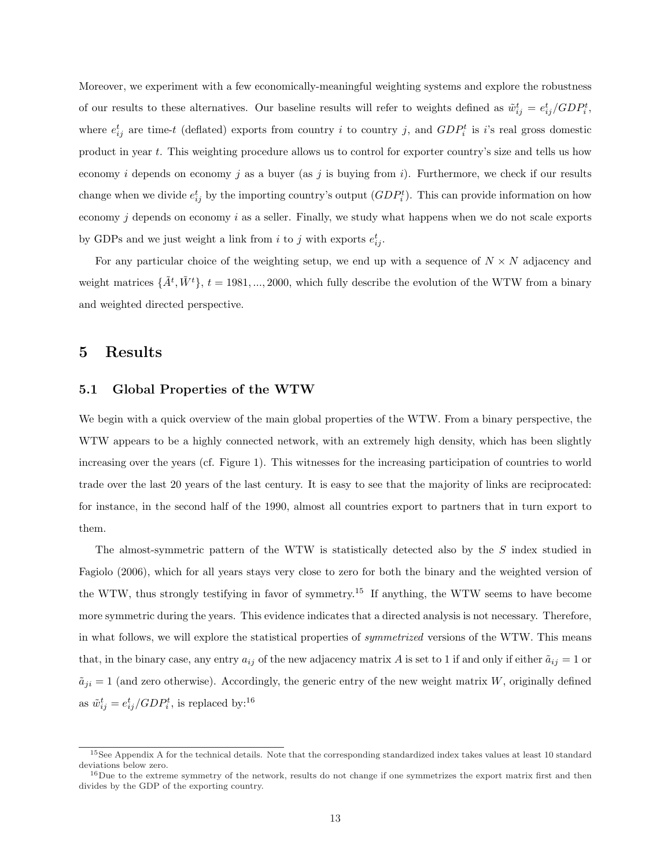Moreover, we experiment with a few economically-meaningful weighting systems and explore the robustness of our results to these alternatives. Our baseline results will refer to weights defined as  $\tilde{w}_{ij}^t = e_{ij}^t / GDP_i^t$ , where  $e_{ij}^t$  are time-t (deflated) exports from country i to country j, and  $GDP_i^t$  is i's real gross domestic product in year t. This weighting procedure allows us to control for exporter country's size and tells us how economy i depends on economy j as a buyer (as j is buying from i). Furthermore, we check if our results change when we divide  $e_{ij}^t$  by the importing country's output  $(GDP_i^t)$ . This can provide information on how economy  $j$  depends on economy  $i$  as a seller. Finally, we study what happens when we do not scale exports by GDPs and we just weight a link from i to j with exports  $e_{ij}^t$ .

For any particular choice of the weighting setup, we end up with a sequence of  $N \times N$  adjacency and weight matrices  $\{\tilde{A}^t, \tilde{W}^t\}, t = 1981, ..., 2000$ , which fully describe the evolution of the WTW from a binary and weighted directed perspective.

### 5 Results

#### 5.1 Global Properties of the WTW

We begin with a quick overview of the main global properties of the WTW. From a binary perspective, the WTW appears to be a highly connected network, with an extremely high density, which has been slightly increasing over the years (cf. Figure 1). This witnesses for the increasing participation of countries to world trade over the last 20 years of the last century. It is easy to see that the majority of links are reciprocated: for instance, in the second half of the 1990, almost all countries export to partners that in turn export to them.

The almost-symmetric pattern of the WTW is statistically detected also by the S index studied in Fagiolo (2006), which for all years stays very close to zero for both the binary and the weighted version of the WTW, thus strongly testifying in favor of symmetry.<sup>15</sup> If anything, the WTW seems to have become more symmetric during the years. This evidence indicates that a directed analysis is not necessary. Therefore, in what follows, we will explore the statistical properties of *symmetrized* versions of the WTW. This means that, in the binary case, any entry  $a_{ij}$  of the new adjacency matrix A is set to 1 if and only if either  $\tilde{a}_{ij} = 1$  or  $\tilde{a}_{ji} = 1$  (and zero otherwise). Accordingly, the generic entry of the new weight matrix W, originally defined as  $\tilde{w}_{ij}^t = e_{ij}^t / GDP_i^t$ , is replaced by:<sup>16</sup>

<sup>15</sup>See Appendix A for the technical details. Note that the corresponding standardized index takes values at least 10 standard deviations below zero.

 $16$ Due to the extreme symmetry of the network, results do not change if one symmetrizes the export matrix first and then divides by the GDP of the exporting country.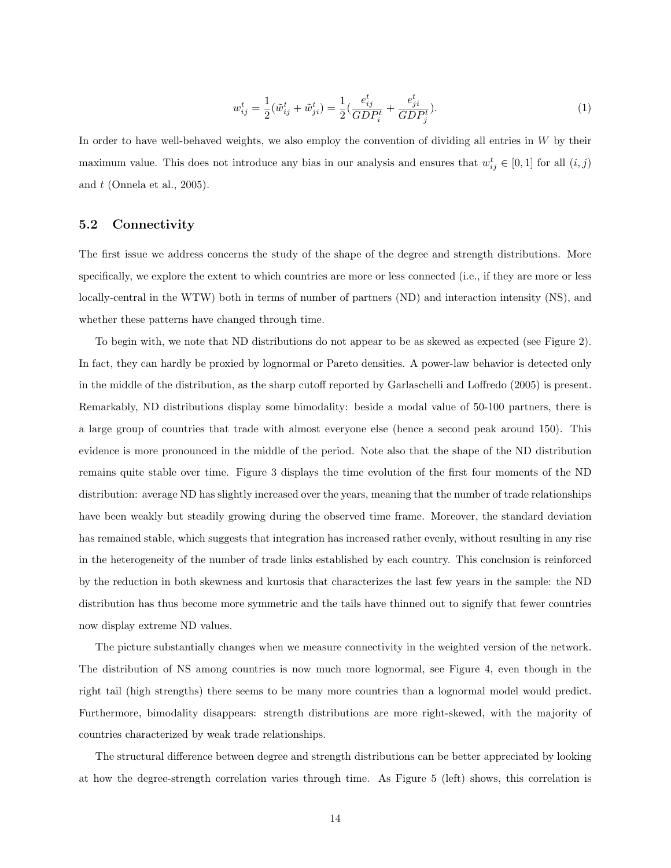$$
w_{ij}^t = \frac{1}{2}(\tilde{w}_{ij}^t + \tilde{w}_{ji}^t) = \frac{1}{2}(\frac{e_{ij}^t}{GDP_i^t} + \frac{e_{ji}^t}{GDP_j^t}).
$$
\n(1)

In order to have well-behaved weights, we also employ the convention of dividing all entries in  $W$  by their maximum value. This does not introduce any bias in our analysis and ensures that  $w_{ij}^t \in [0,1]$  for all  $(i, j)$ and  $t$  (Onnela et al., 2005).

#### 5.2 Connectivity

The first issue we address concerns the study of the shape of the degree and strength distributions. More specifically, we explore the extent to which countries are more or less connected (i.e., if they are more or less locally-central in the WTW) both in terms of number of partners (ND) and interaction intensity (NS), and whether these patterns have changed through time.

To begin with, we note that ND distributions do not appear to be as skewed as expected (see Figure 2). In fact, they can hardly be proxied by lognormal or Pareto densities. A power-law behavior is detected only in the middle of the distribution, as the sharp cutoff reported by Garlaschelli and Loffredo (2005) is present. Remarkably, ND distributions display some bimodality: beside a modal value of 50-100 partners, there is a large group of countries that trade with almost everyone else (hence a second peak around 150). This evidence is more pronounced in the middle of the period. Note also that the shape of the ND distribution remains quite stable over time. Figure 3 displays the time evolution of the first four moments of the ND distribution: average ND has slightly increased over the years, meaning that the number of trade relationships have been weakly but steadily growing during the observed time frame. Moreover, the standard deviation has remained stable, which suggests that integration has increased rather evenly, without resulting in any rise in the heterogeneity of the number of trade links established by each country. This conclusion is reinforced by the reduction in both skewness and kurtosis that characterizes the last few years in the sample: the ND distribution has thus become more symmetric and the tails have thinned out to signify that fewer countries now display extreme ND values.

The picture substantially changes when we measure connectivity in the weighted version of the network. The distribution of NS among countries is now much more lognormal, see Figure 4, even though in the right tail (high strengths) there seems to be many more countries than a lognormal model would predict. Furthermore, bimodality disappears: strength distributions are more right-skewed, with the majority of countries characterized by weak trade relationships.

The structural difference between degree and strength distributions can be better appreciated by looking at how the degree-strength correlation varies through time. As Figure 5 (left) shows, this correlation is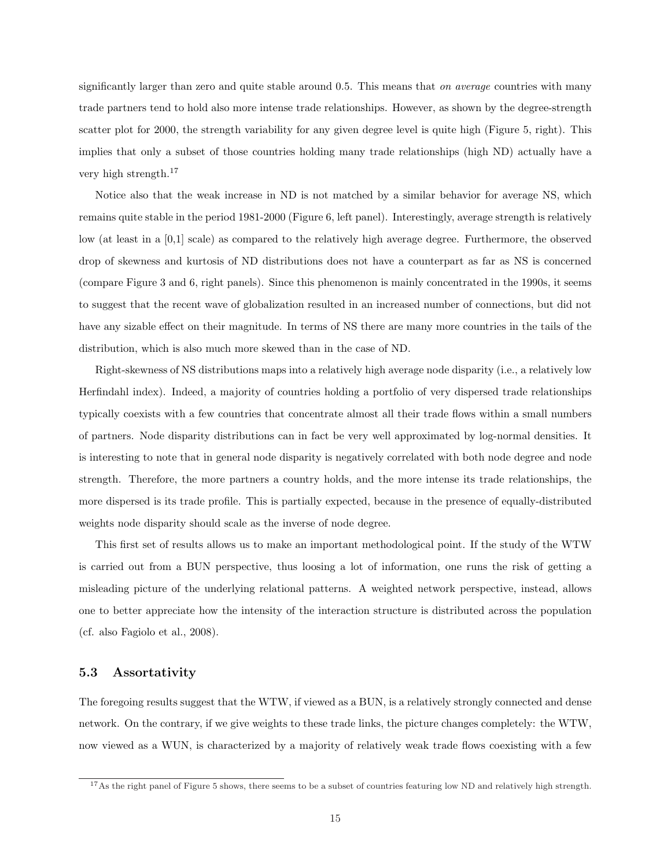significantly larger than zero and quite stable around 0.5. This means that *on average* countries with many trade partners tend to hold also more intense trade relationships. However, as shown by the degree-strength scatter plot for 2000, the strength variability for any given degree level is quite high (Figure 5, right). This implies that only a subset of those countries holding many trade relationships (high ND) actually have a very high strength.<sup>17</sup>

Notice also that the weak increase in ND is not matched by a similar behavior for average NS, which remains quite stable in the period 1981-2000 (Figure 6, left panel). Interestingly, average strength is relatively low (at least in a [0,1] scale) as compared to the relatively high average degree. Furthermore, the observed drop of skewness and kurtosis of ND distributions does not have a counterpart as far as NS is concerned (compare Figure 3 and 6, right panels). Since this phenomenon is mainly concentrated in the 1990s, it seems to suggest that the recent wave of globalization resulted in an increased number of connections, but did not have any sizable effect on their magnitude. In terms of NS there are many more countries in the tails of the distribution, which is also much more skewed than in the case of ND.

Right-skewness of NS distributions maps into a relatively high average node disparity (i.e., a relatively low Herfindahl index). Indeed, a majority of countries holding a portfolio of very dispersed trade relationships typically coexists with a few countries that concentrate almost all their trade flows within a small numbers of partners. Node disparity distributions can in fact be very well approximated by log-normal densities. It is interesting to note that in general node disparity is negatively correlated with both node degree and node strength. Therefore, the more partners a country holds, and the more intense its trade relationships, the more dispersed is its trade profile. This is partially expected, because in the presence of equally-distributed weights node disparity should scale as the inverse of node degree.

This first set of results allows us to make an important methodological point. If the study of the WTW is carried out from a BUN perspective, thus loosing a lot of information, one runs the risk of getting a misleading picture of the underlying relational patterns. A weighted network perspective, instead, allows one to better appreciate how the intensity of the interaction structure is distributed across the population (cf. also Fagiolo et al., 2008).

#### 5.3 Assortativity

The foregoing results suggest that the WTW, if viewed as a BUN, is a relatively strongly connected and dense network. On the contrary, if we give weights to these trade links, the picture changes completely: the WTW, now viewed as a WUN, is characterized by a majority of relatively weak trade flows coexisting with a few

<sup>&</sup>lt;sup>17</sup>As the right panel of Figure 5 shows, there seems to be a subset of countries featuring low ND and relatively high strength.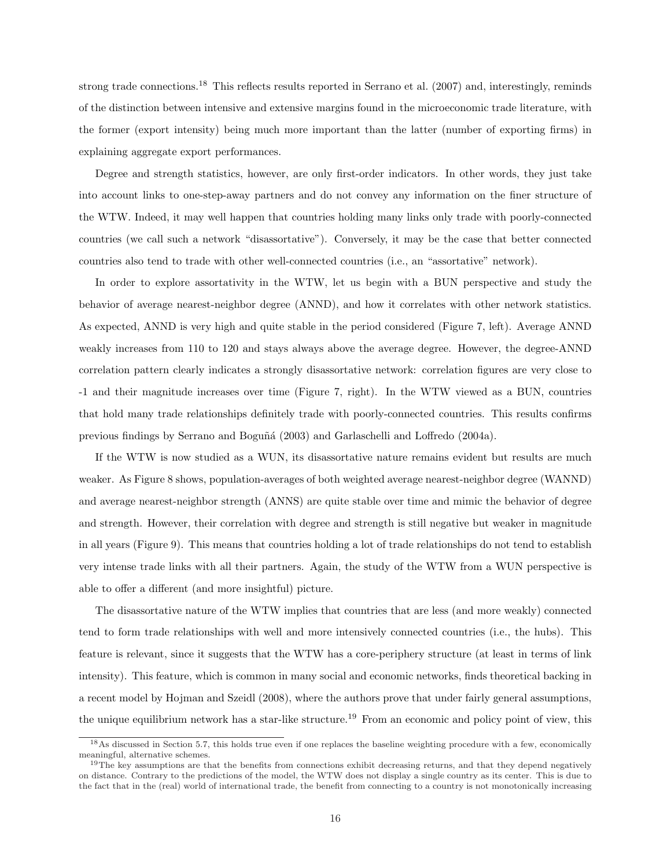strong trade connections.<sup>18</sup> This reflects results reported in Serrano et al. (2007) and, interestingly, reminds of the distinction between intensive and extensive margins found in the microeconomic trade literature, with the former (export intensity) being much more important than the latter (number of exporting firms) in explaining aggregate export performances.

Degree and strength statistics, however, are only first-order indicators. In other words, they just take into account links to one-step-away partners and do not convey any information on the finer structure of the WTW. Indeed, it may well happen that countries holding many links only trade with poorly-connected countries (we call such a network "disassortative"). Conversely, it may be the case that better connected countries also tend to trade with other well-connected countries (i.e., an "assortative" network).

In order to explore assortativity in the WTW, let us begin with a BUN perspective and study the behavior of average nearest-neighbor degree (ANND), and how it correlates with other network statistics. As expected, ANND is very high and quite stable in the period considered (Figure 7, left). Average ANND weakly increases from 110 to 120 and stays always above the average degree. However, the degree-ANND correlation pattern clearly indicates a strongly disassortative network: correlation figures are very close to -1 and their magnitude increases over time (Figure 7, right). In the WTW viewed as a BUN, countries that hold many trade relationships definitely trade with poorly-connected countries. This results confirms previous findings by Serrano and Boguñá (2003) and Garlaschelli and Loffredo (2004a).

If the WTW is now studied as a WUN, its disassortative nature remains evident but results are much weaker. As Figure 8 shows, population-averages of both weighted average nearest-neighbor degree (WANND) and average nearest-neighbor strength (ANNS) are quite stable over time and mimic the behavior of degree and strength. However, their correlation with degree and strength is still negative but weaker in magnitude in all years (Figure 9). This means that countries holding a lot of trade relationships do not tend to establish very intense trade links with all their partners. Again, the study of the WTW from a WUN perspective is able to offer a different (and more insightful) picture.

The disassortative nature of the WTW implies that countries that are less (and more weakly) connected tend to form trade relationships with well and more intensively connected countries (i.e., the hubs). This feature is relevant, since it suggests that the WTW has a core-periphery structure (at least in terms of link intensity). This feature, which is common in many social and economic networks, finds theoretical backing in a recent model by Hojman and Szeidl (2008), where the authors prove that under fairly general assumptions, the unique equilibrium network has a star-like structure.<sup>19</sup> From an economic and policy point of view, this

<sup>&</sup>lt;sup>18</sup>As discussed in Section 5.7, this holds true even if one replaces the baseline weighting procedure with a few, economically meaningful, alternative schemes.

 $19$ The key assumptions are that the benefits from connections exhibit decreasing returns, and that they depend negatively on distance. Contrary to the predictions of the model, the WTW does not display a single country as its center. This is due to the fact that in the (real) world of international trade, the benefit from connecting to a country is not monotonically increasing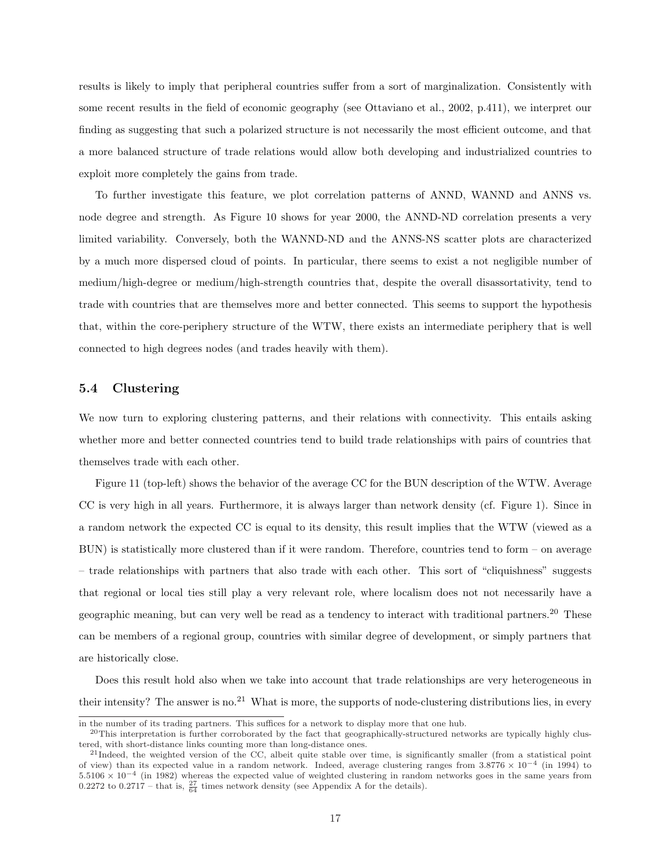results is likely to imply that peripheral countries suffer from a sort of marginalization. Consistently with some recent results in the field of economic geography (see Ottaviano et al., 2002, p.411), we interpret our finding as suggesting that such a polarized structure is not necessarily the most efficient outcome, and that a more balanced structure of trade relations would allow both developing and industrialized countries to exploit more completely the gains from trade.

To further investigate this feature, we plot correlation patterns of ANND, WANND and ANNS vs. node degree and strength. As Figure 10 shows for year 2000, the ANND-ND correlation presents a very limited variability. Conversely, both the WANND-ND and the ANNS-NS scatter plots are characterized by a much more dispersed cloud of points. In particular, there seems to exist a not negligible number of medium/high-degree or medium/high-strength countries that, despite the overall disassortativity, tend to trade with countries that are themselves more and better connected. This seems to support the hypothesis that, within the core-periphery structure of the WTW, there exists an intermediate periphery that is well connected to high degrees nodes (and trades heavily with them).

#### 5.4 Clustering

We now turn to exploring clustering patterns, and their relations with connectivity. This entails asking whether more and better connected countries tend to build trade relationships with pairs of countries that themselves trade with each other.

Figure 11 (top-left) shows the behavior of the average CC for the BUN description of the WTW. Average CC is very high in all years. Furthermore, it is always larger than network density (cf. Figure 1). Since in a random network the expected CC is equal to its density, this result implies that the WTW (viewed as a BUN) is statistically more clustered than if it were random. Therefore, countries tend to form – on average – trade relationships with partners that also trade with each other. This sort of "cliquishness" suggests that regional or local ties still play a very relevant role, where localism does not not necessarily have a geographic meaning, but can very well be read as a tendency to interact with traditional partners.<sup>20</sup> These can be members of a regional group, countries with similar degree of development, or simply partners that are historically close.

Does this result hold also when we take into account that trade relationships are very heterogeneous in their intensity? The answer is no.<sup>21</sup> What is more, the supports of node-clustering distributions lies, in every

in the number of its trading partners. This suffices for a network to display more that one hub.

 $^{20}$ This interpretation is further corroborated by the fact that geographically-structured networks are typically highly clustered, with short-distance links counting more than long-distance ones.

 $21$ Indeed, the weighted version of the CC, albeit quite stable over time, is significantly smaller (from a statistical point of view) than its expected value in a random network. Indeed, average clustering ranges from 3.8776  $\times$  10<sup>-4</sup> (in 1994) to  $5.5106 \times 10^{-4}$  (in 1982) whereas the expected value of weighted clustering in random networks goes in the same years from 0.2272 to 0.2717 – that is,  $\frac{27}{64}$  times network density (see Appendix A for the details).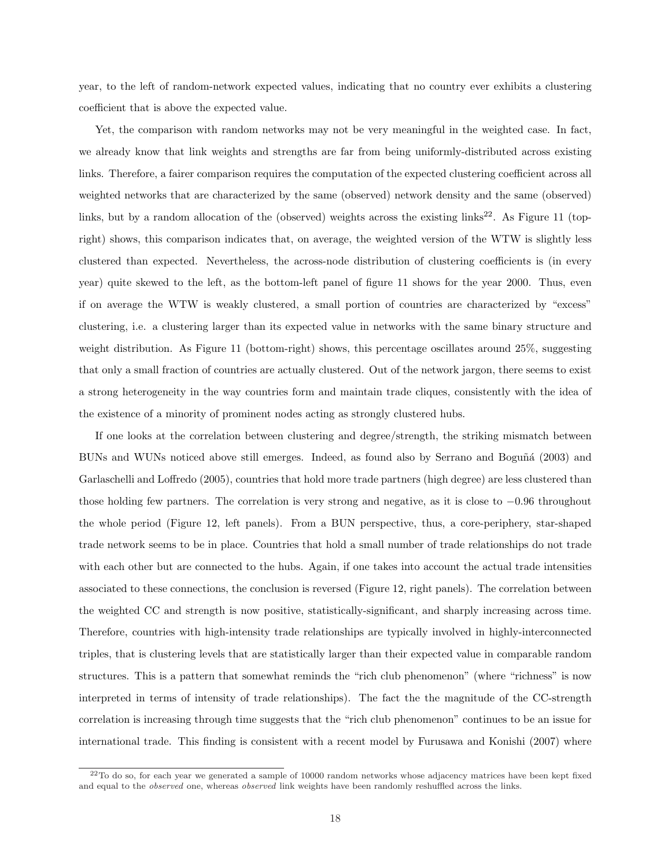year, to the left of random-network expected values, indicating that no country ever exhibits a clustering coefficient that is above the expected value.

Yet, the comparison with random networks may not be very meaningful in the weighted case. In fact, we already know that link weights and strengths are far from being uniformly-distributed across existing links. Therefore, a fairer comparison requires the computation of the expected clustering coefficient across all weighted networks that are characterized by the same (observed) network density and the same (observed) links, but by a random allocation of the (observed) weights across the existing links<sup>22</sup>. As Figure 11 (topright) shows, this comparison indicates that, on average, the weighted version of the WTW is slightly less clustered than expected. Nevertheless, the across-node distribution of clustering coefficients is (in every year) quite skewed to the left, as the bottom-left panel of figure 11 shows for the year 2000. Thus, even if on average the WTW is weakly clustered, a small portion of countries are characterized by "excess" clustering, i.e. a clustering larger than its expected value in networks with the same binary structure and weight distribution. As Figure 11 (bottom-right) shows, this percentage oscillates around 25%, suggesting that only a small fraction of countries are actually clustered. Out of the network jargon, there seems to exist a strong heterogeneity in the way countries form and maintain trade cliques, consistently with the idea of the existence of a minority of prominent nodes acting as strongly clustered hubs.

If one looks at the correlation between clustering and degree/strength, the striking mismatch between BUNs and WUNs noticed above still emerges. Indeed, as found also by Serrano and Boguñá (2003) and Garlaschelli and Loffredo (2005), countries that hold more trade partners (high degree) are less clustered than those holding few partners. The correlation is very strong and negative, as it is close to −0.96 throughout the whole period (Figure 12, left panels). From a BUN perspective, thus, a core-periphery, star-shaped trade network seems to be in place. Countries that hold a small number of trade relationships do not trade with each other but are connected to the hubs. Again, if one takes into account the actual trade intensities associated to these connections, the conclusion is reversed (Figure 12, right panels). The correlation between the weighted CC and strength is now positive, statistically-significant, and sharply increasing across time. Therefore, countries with high-intensity trade relationships are typically involved in highly-interconnected triples, that is clustering levels that are statistically larger than their expected value in comparable random structures. This is a pattern that somewhat reminds the "rich club phenomenon" (where "richness" is now interpreted in terms of intensity of trade relationships). The fact the the magnitude of the CC-strength correlation is increasing through time suggests that the "rich club phenomenon" continues to be an issue for international trade. This finding is consistent with a recent model by Furusawa and Konishi (2007) where

 $^{22}$ To do so, for each year we generated a sample of 10000 random networks whose adjacency matrices have been kept fixed and equal to the *observed* one, whereas *observed* link weights have been randomly reshuffled across the links.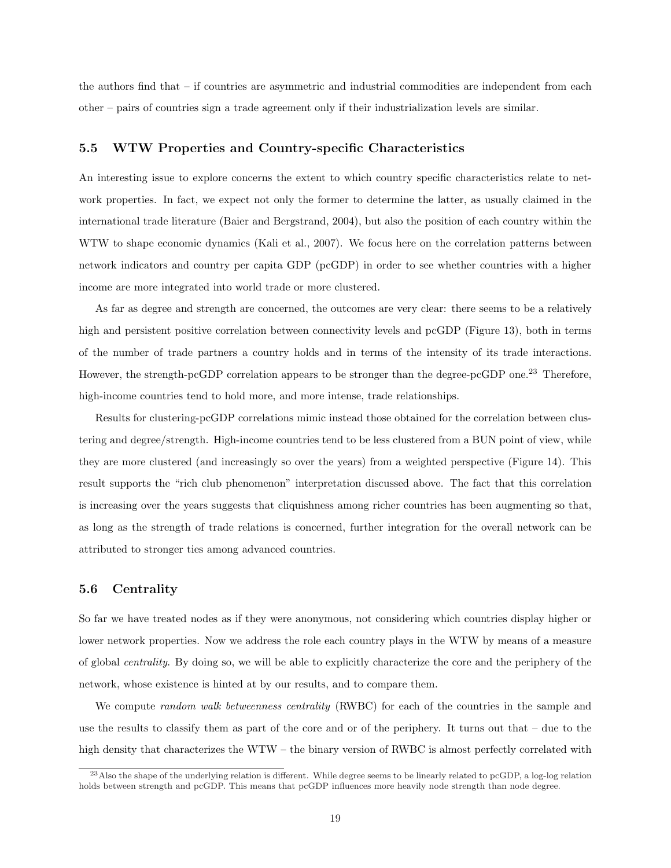the authors find that – if countries are asymmetric and industrial commodities are independent from each other – pairs of countries sign a trade agreement only if their industrialization levels are similar.

#### 5.5 WTW Properties and Country-specific Characteristics

An interesting issue to explore concerns the extent to which country specific characteristics relate to network properties. In fact, we expect not only the former to determine the latter, as usually claimed in the international trade literature (Baier and Bergstrand, 2004), but also the position of each country within the WTW to shape economic dynamics (Kali et al., 2007). We focus here on the correlation patterns between network indicators and country per capita GDP (pcGDP) in order to see whether countries with a higher income are more integrated into world trade or more clustered.

As far as degree and strength are concerned, the outcomes are very clear: there seems to be a relatively high and persistent positive correlation between connectivity levels and pcGDP (Figure 13), both in terms of the number of trade partners a country holds and in terms of the intensity of its trade interactions. However, the strength-pcGDP correlation appears to be stronger than the degree-pcGDP one.<sup>23</sup> Therefore, high-income countries tend to hold more, and more intense, trade relationships.

Results for clustering-pcGDP correlations mimic instead those obtained for the correlation between clustering and degree/strength. High-income countries tend to be less clustered from a BUN point of view, while they are more clustered (and increasingly so over the years) from a weighted perspective (Figure 14). This result supports the "rich club phenomenon" interpretation discussed above. The fact that this correlation is increasing over the years suggests that cliquishness among richer countries has been augmenting so that, as long as the strength of trade relations is concerned, further integration for the overall network can be attributed to stronger ties among advanced countries.

#### 5.6 Centrality

So far we have treated nodes as if they were anonymous, not considering which countries display higher or lower network properties. Now we address the role each country plays in the WTW by means of a measure of global centrality. By doing so, we will be able to explicitly characterize the core and the periphery of the network, whose existence is hinted at by our results, and to compare them.

We compute *random walk betweenness centrality* (RWBC) for each of the countries in the sample and use the results to classify them as part of the core and or of the periphery. It turns out that – due to the high density that characterizes the WTW – the binary version of RWBC is almost perfectly correlated with

 $^{23}$  Also the shape of the underlying relation is different. While degree seems to be linearly related to pcGDP, a log-log relation holds between strength and pcGDP. This means that pcGDP influences more heavily node strength than node degree.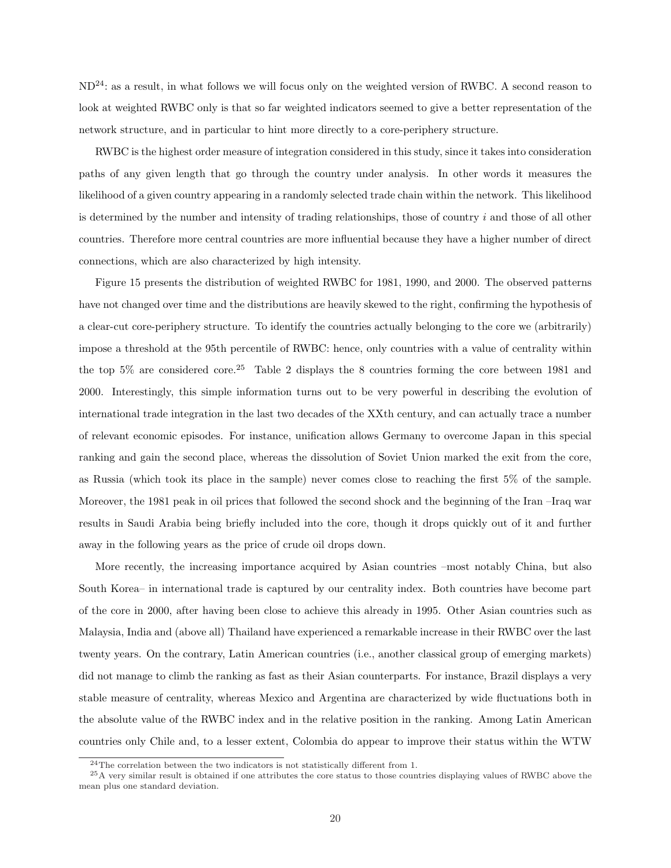$ND<sup>24</sup>$ : as a result, in what follows we will focus only on the weighted version of RWBC. A second reason to look at weighted RWBC only is that so far weighted indicators seemed to give a better representation of the network structure, and in particular to hint more directly to a core-periphery structure.

RWBC is the highest order measure of integration considered in this study, since it takes into consideration paths of any given length that go through the country under analysis. In other words it measures the likelihood of a given country appearing in a randomly selected trade chain within the network. This likelihood is determined by the number and intensity of trading relationships, those of country i and those of all other countries. Therefore more central countries are more influential because they have a higher number of direct connections, which are also characterized by high intensity.

Figure 15 presents the distribution of weighted RWBC for 1981, 1990, and 2000. The observed patterns have not changed over time and the distributions are heavily skewed to the right, confirming the hypothesis of a clear-cut core-periphery structure. To identify the countries actually belonging to the core we (arbitrarily) impose a threshold at the 95th percentile of RWBC: hence, only countries with a value of centrality within the top  $5\%$  are considered core.<sup>25</sup> Table 2 displays the 8 countries forming the core between 1981 and 2000. Interestingly, this simple information turns out to be very powerful in describing the evolution of international trade integration in the last two decades of the XXth century, and can actually trace a number of relevant economic episodes. For instance, unification allows Germany to overcome Japan in this special ranking and gain the second place, whereas the dissolution of Soviet Union marked the exit from the core, as Russia (which took its place in the sample) never comes close to reaching the first 5% of the sample. Moreover, the 1981 peak in oil prices that followed the second shock and the beginning of the Iran –Iraq war results in Saudi Arabia being briefly included into the core, though it drops quickly out of it and further away in the following years as the price of crude oil drops down.

More recently, the increasing importance acquired by Asian countries –most notably China, but also South Korea– in international trade is captured by our centrality index. Both countries have become part of the core in 2000, after having been close to achieve this already in 1995. Other Asian countries such as Malaysia, India and (above all) Thailand have experienced a remarkable increase in their RWBC over the last twenty years. On the contrary, Latin American countries (i.e., another classical group of emerging markets) did not manage to climb the ranking as fast as their Asian counterparts. For instance, Brazil displays a very stable measure of centrality, whereas Mexico and Argentina are characterized by wide fluctuations both in the absolute value of the RWBC index and in the relative position in the ranking. Among Latin American countries only Chile and, to a lesser extent, Colombia do appear to improve their status within the WTW

 $^{24}\mathrm{The}$  correlation between the two indicators is not statistically different from 1.

 $^{25}$ A very similar result is obtained if one attributes the core status to those countries displaying values of RWBC above the mean plus one standard deviation.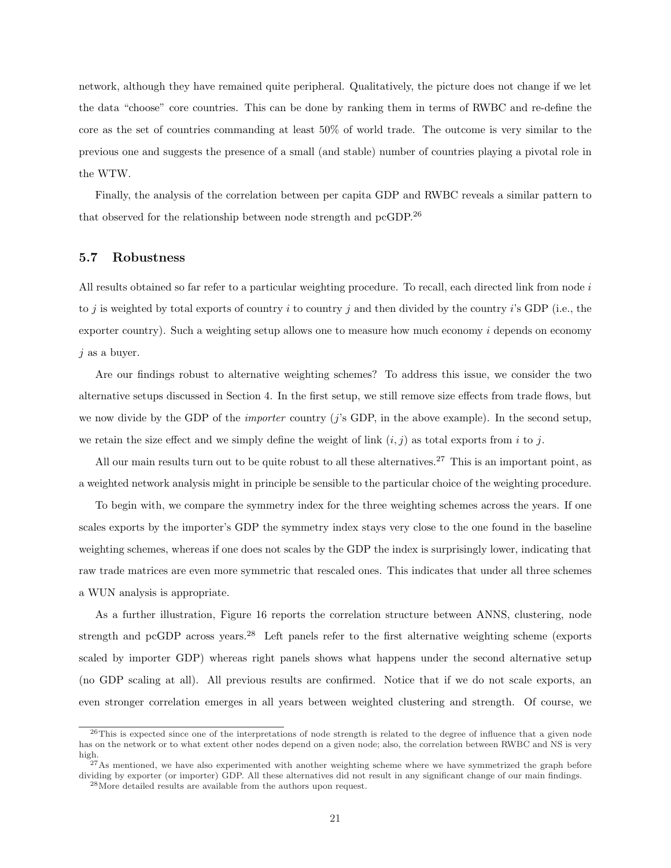network, although they have remained quite peripheral. Qualitatively, the picture does not change if we let the data "choose" core countries. This can be done by ranking them in terms of RWBC and re-define the core as the set of countries commanding at least 50% of world trade. The outcome is very similar to the previous one and suggests the presence of a small (and stable) number of countries playing a pivotal role in the WTW.

Finally, the analysis of the correlation between per capita GDP and RWBC reveals a similar pattern to that observed for the relationship between node strength and pcGDP.<sup>26</sup>

#### 5.7 Robustness

All results obtained so far refer to a particular weighting procedure. To recall, each directed link from node i to j is weighted by total exports of country i to country j and then divided by the country i's GDP (i.e., the exporter country). Such a weighting setup allows one to measure how much economy i depends on economy  $j$  as a buyer.

Are our findings robust to alternative weighting schemes? To address this issue, we consider the two alternative setups discussed in Section 4. In the first setup, we still remove size effects from trade flows, but we now divide by the GDP of the *importer* country (*j*'s GDP, in the above example). In the second setup, we retain the size effect and we simply define the weight of link  $(i, j)$  as total exports from i to j.

All our main results turn out to be quite robust to all these alternatives.<sup>27</sup> This is an important point, as a weighted network analysis might in principle be sensible to the particular choice of the weighting procedure.

To begin with, we compare the symmetry index for the three weighting schemes across the years. If one scales exports by the importer's GDP the symmetry index stays very close to the one found in the baseline weighting schemes, whereas if one does not scales by the GDP the index is surprisingly lower, indicating that raw trade matrices are even more symmetric that rescaled ones. This indicates that under all three schemes a WUN analysis is appropriate.

As a further illustration, Figure 16 reports the correlation structure between ANNS, clustering, node strength and pcGDP across years.<sup>28</sup> Left panels refer to the first alternative weighting scheme (exports scaled by importer GDP) whereas right panels shows what happens under the second alternative setup (no GDP scaling at all). All previous results are confirmed. Notice that if we do not scale exports, an even stronger correlation emerges in all years between weighted clustering and strength. Of course, we

 $^{26}$ This is expected since one of the interpretations of node strength is related to the degree of influence that a given node has on the network or to what extent other nodes depend on a given node; also, the correlation between RWBC and NS is very high.

 $^{27}$ As mentioned, we have also experimented with another weighting scheme where we have symmetrized the graph before dividing by exporter (or importer) GDP. All these alternatives did not result in any significant change of our main findings.

<sup>28</sup>More detailed results are available from the authors upon request.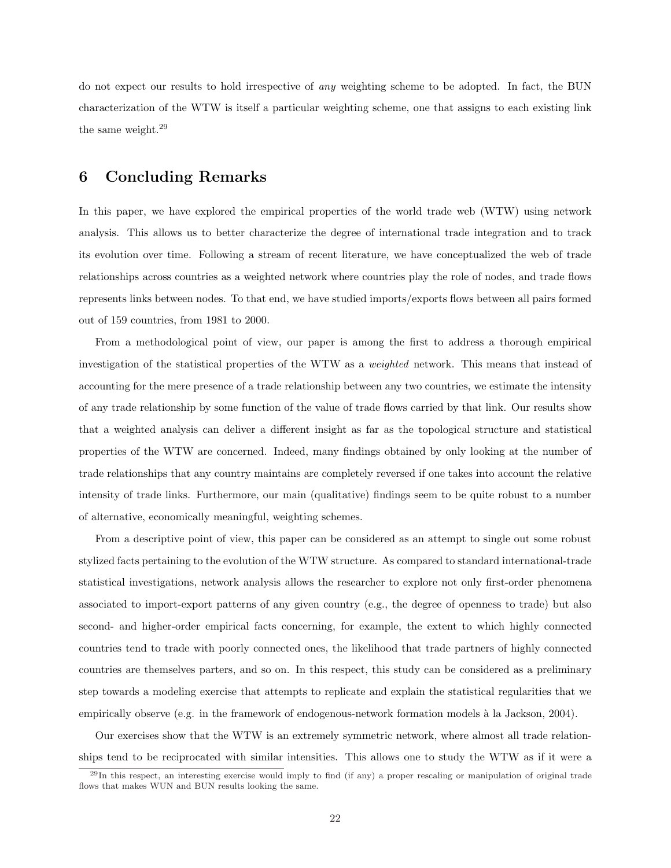do not expect our results to hold irrespective of any weighting scheme to be adopted. In fact, the BUN characterization of the WTW is itself a particular weighting scheme, one that assigns to each existing link the same weight.<sup>29</sup>

# 6 Concluding Remarks

In this paper, we have explored the empirical properties of the world trade web (WTW) using network analysis. This allows us to better characterize the degree of international trade integration and to track its evolution over time. Following a stream of recent literature, we have conceptualized the web of trade relationships across countries as a weighted network where countries play the role of nodes, and trade flows represents links between nodes. To that end, we have studied imports/exports flows between all pairs formed out of 159 countries, from 1981 to 2000.

From a methodological point of view, our paper is among the first to address a thorough empirical investigation of the statistical properties of the WTW as a weighted network. This means that instead of accounting for the mere presence of a trade relationship between any two countries, we estimate the intensity of any trade relationship by some function of the value of trade flows carried by that link. Our results show that a weighted analysis can deliver a different insight as far as the topological structure and statistical properties of the WTW are concerned. Indeed, many findings obtained by only looking at the number of trade relationships that any country maintains are completely reversed if one takes into account the relative intensity of trade links. Furthermore, our main (qualitative) findings seem to be quite robust to a number of alternative, economically meaningful, weighting schemes.

From a descriptive point of view, this paper can be considered as an attempt to single out some robust stylized facts pertaining to the evolution of the WTW structure. As compared to standard international-trade statistical investigations, network analysis allows the researcher to explore not only first-order phenomena associated to import-export patterns of any given country (e.g., the degree of openness to trade) but also second- and higher-order empirical facts concerning, for example, the extent to which highly connected countries tend to trade with poorly connected ones, the likelihood that trade partners of highly connected countries are themselves parters, and so on. In this respect, this study can be considered as a preliminary step towards a modeling exercise that attempts to replicate and explain the statistical regularities that we empirically observe (e.g. in the framework of endogenous-network formation models à la Jackson, 2004).

Our exercises show that the WTW is an extremely symmetric network, where almost all trade relationships tend to be reciprocated with similar intensities. This allows one to study the WTW as if it were a

 $^{29}$ In this respect, an interesting exercise would imply to find (if any) a proper rescaling or manipulation of original trade flows that makes WUN and BUN results looking the same.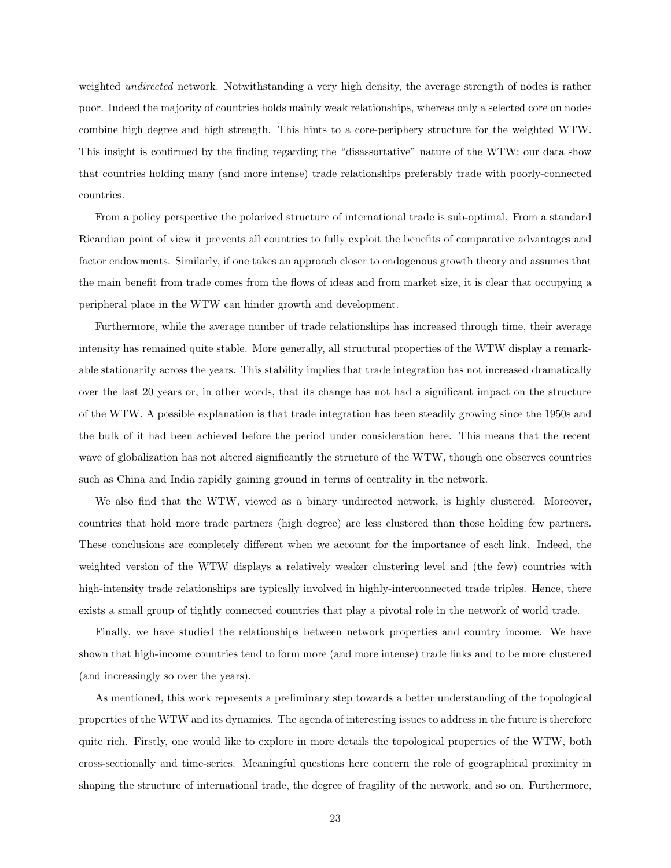weighted *undirected* network. Notwithstanding a very high density, the average strength of nodes is rather poor. Indeed the majority of countries holds mainly weak relationships, whereas only a selected core on nodes combine high degree and high strength. This hints to a core-periphery structure for the weighted WTW. This insight is confirmed by the finding regarding the "disassortative" nature of the WTW: our data show that countries holding many (and more intense) trade relationships preferably trade with poorly-connected countries.

From a policy perspective the polarized structure of international trade is sub-optimal. From a standard Ricardian point of view it prevents all countries to fully exploit the benefits of comparative advantages and factor endowments. Similarly, if one takes an approach closer to endogenous growth theory and assumes that the main benefit from trade comes from the flows of ideas and from market size, it is clear that occupying a peripheral place in the WTW can hinder growth and development.

Furthermore, while the average number of trade relationships has increased through time, their average intensity has remained quite stable. More generally, all structural properties of the WTW display a remarkable stationarity across the years. This stability implies that trade integration has not increased dramatically over the last 20 years or, in other words, that its change has not had a significant impact on the structure of the WTW. A possible explanation is that trade integration has been steadily growing since the 1950s and the bulk of it had been achieved before the period under consideration here. This means that the recent wave of globalization has not altered significantly the structure of the WTW, though one observes countries such as China and India rapidly gaining ground in terms of centrality in the network.

We also find that the WTW, viewed as a binary undirected network, is highly clustered. Moreover, countries that hold more trade partners (high degree) are less clustered than those holding few partners. These conclusions are completely different when we account for the importance of each link. Indeed, the weighted version of the WTW displays a relatively weaker clustering level and (the few) countries with high-intensity trade relationships are typically involved in highly-interconnected trade triples. Hence, there exists a small group of tightly connected countries that play a pivotal role in the network of world trade.

Finally, we have studied the relationships between network properties and country income. We have shown that high-income countries tend to form more (and more intense) trade links and to be more clustered (and increasingly so over the years).

As mentioned, this work represents a preliminary step towards a better understanding of the topological properties of the WTW and its dynamics. The agenda of interesting issues to address in the future is therefore quite rich. Firstly, one would like to explore in more details the topological properties of the WTW, both cross-sectionally and time-series. Meaningful questions here concern the role of geographical proximity in shaping the structure of international trade, the degree of fragility of the network, and so on. Furthermore,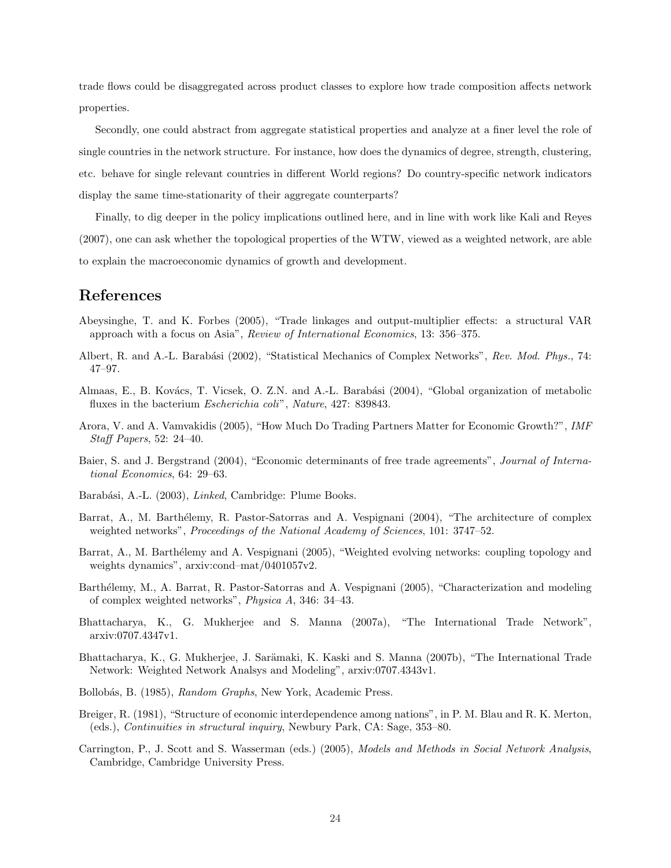trade flows could be disaggregated across product classes to explore how trade composition affects network properties.

Secondly, one could abstract from aggregate statistical properties and analyze at a finer level the role of single countries in the network structure. For instance, how does the dynamics of degree, strength, clustering, etc. behave for single relevant countries in different World regions? Do country-specific network indicators display the same time-stationarity of their aggregate counterparts?

Finally, to dig deeper in the policy implications outlined here, and in line with work like Kali and Reyes (2007), one can ask whether the topological properties of the WTW, viewed as a weighted network, are able to explain the macroeconomic dynamics of growth and development.

## References

- Abeysinghe, T. and K. Forbes (2005), "Trade linkages and output-multiplier effects: a structural VAR approach with a focus on Asia", Review of International Economics, 13: 356–375.
- Albert, R. and A.-L. Barabási (2002), "Statistical Mechanics of Complex Networks", Rev. Mod. Phys., 74: 47–97.
- Almaas, E., B. Kovács, T. Vicsek, O. Z.N. and A.-L. Barabási (2004), "Global organization of metabolic fluxes in the bacterium Escherichia coli", Nature, 427: 839843.
- Arora, V. and A. Vamvakidis (2005), "How Much Do Trading Partners Matter for Economic Growth?", IMF Staff Papers, 52: 24–40.
- Baier, S. and J. Bergstrand (2004), "Economic determinants of free trade agreements", Journal of International Economics, 64: 29–63.
- Barabási, A.-L. (2003), Linked, Cambridge: Plume Books.
- Barrat, A., M. Barthélemy, R. Pastor-Satorras and A. Vespignani (2004), "The architecture of complex weighted networks", Proceedings of the National Academy of Sciences, 101: 3747–52.
- Barrat, A., M. Barthélemy and A. Vespignani (2005), "Weighted evolving networks: coupling topology and weights dynamics", arxiv:cond–mat/0401057v2.
- Barthélemy, M., A. Barrat, R. Pastor-Satorras and A. Vespignani (2005), "Characterization and modeling of complex weighted networks", Physica A, 346: 34–43.
- Bhattacharya, K., G. Mukherjee and S. Manna (2007a), "The International Trade Network", arxiv:0707.4347v1.
- Bhattacharya, K., G. Mukherjee, J. Sarämaki, K. Kaski and S. Manna (2007b), "The International Trade Network: Weighted Network Analsys and Modeling", arxiv:0707.4343v1.
- Bollobás, B. (1985), Random Graphs, New York, Academic Press.
- Breiger, R. (1981), "Structure of economic interdependence among nations", in P. M. Blau and R. K. Merton, (eds.), Continuities in structural inquiry, Newbury Park, CA: Sage, 353–80.
- Carrington, P., J. Scott and S. Wasserman (eds.) (2005), Models and Methods in Social Network Analysis, Cambridge, Cambridge University Press.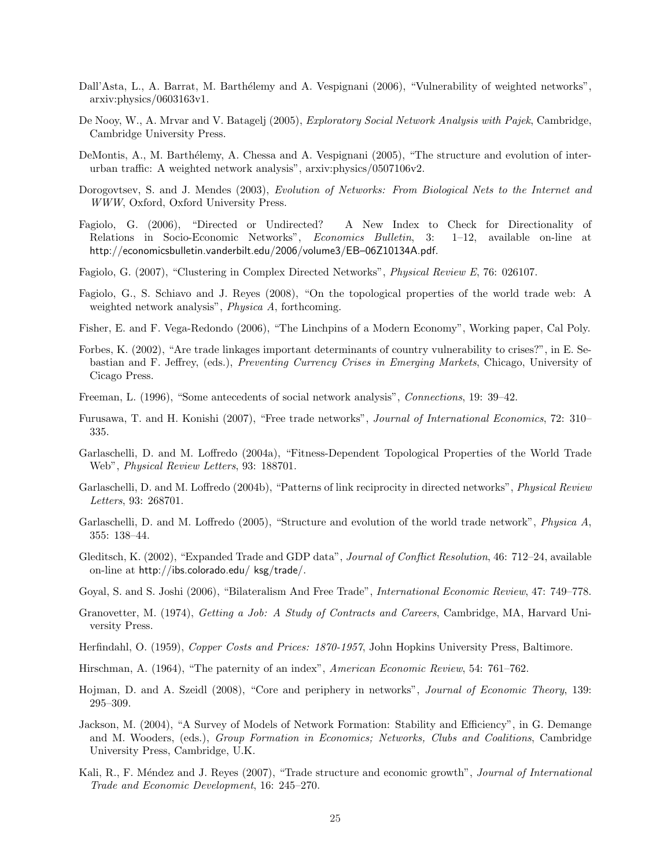- Dall'Asta, L., A. Barrat, M. Barthélemy and A. Vespignani (2006), "Vulnerability of weighted networks", arxiv:physics/0603163v1.
- De Nooy, W., A. Mrvar and V. Batagelj (2005), Exploratory Social Network Analysis with Pajek, Cambridge, Cambridge University Press.
- DeMontis, A., M. Barthélemy, A. Chessa and A. Vespignani (2005), "The structure and evolution of interurban traffic: A weighted network analysis", arxiv:physics/0507106v2.
- Dorogovtsev, S. and J. Mendes (2003), Evolution of Networks: From Biological Nets to the Internet and WWW, Oxford, Oxford University Press.
- Fagiolo, G. (2006), "Directed or Undirected? A New Index to Check for Directionality of Relations in Socio-Economic Networks", Economics Bulletin, 3: 1–12, available on-line at http://economicsbulletin.vanderbilt.edu/2006/volume3/EB–06Z10134A.pdf.
- Fagiolo, G. (2007), "Clustering in Complex Directed Networks", Physical Review E, 76: 026107.
- Fagiolo, G., S. Schiavo and J. Reyes (2008), "On the topological properties of the world trade web: A weighted network analysis", Physica A, forthcoming.
- Fisher, E. and F. Vega-Redondo (2006), "The Linchpins of a Modern Economy", Working paper, Cal Poly.
- Forbes, K. (2002), "Are trade linkages important determinants of country vulnerability to crises?", in E. Sebastian and F. Jeffrey, (eds.), Preventing Currency Crises in Emerging Markets, Chicago, University of Cicago Press.
- Freeman, L. (1996), "Some antecedents of social network analysis", Connections, 19: 39–42.
- Furusawa, T. and H. Konishi (2007), "Free trade networks", Journal of International Economics, 72: 310– 335.
- Garlaschelli, D. and M. Loffredo (2004a), "Fitness-Dependent Topological Properties of the World Trade Web", Physical Review Letters, 93: 188701.
- Garlaschelli, D. and M. Loffredo (2004b), "Patterns of link reciprocity in directed networks", Physical Review Letters, 93: 268701.
- Garlaschelli, D. and M. Loffredo (2005), "Structure and evolution of the world trade network", Physica A, 355: 138–44.
- Gleditsch, K. (2002), "Expanded Trade and GDP data", Journal of Conflict Resolution, 46: 712–24, available on-line at http://ibs.colorado.edu/ ksg/trade/.
- Goyal, S. and S. Joshi (2006), "Bilateralism And Free Trade", International Economic Review, 47: 749–778.
- Granovetter, M. (1974), *Getting a Job: A Study of Contracts and Careers*, Cambridge, MA, Harvard University Press.
- Herfindahl, O. (1959), Copper Costs and Prices: 1870-1957, John Hopkins University Press, Baltimore.
- Hirschman, A. (1964), "The paternity of an index", American Economic Review, 54: 761–762.
- Hojman, D. and A. Szeidl (2008), "Core and periphery in networks", *Journal of Economic Theory*, 139: 295–309.
- Jackson, M. (2004), "A Survey of Models of Network Formation: Stability and Efficiency", in G. Demange and M. Wooders, (eds.), Group Formation in Economics; Networks, Clubs and Coalitions, Cambridge University Press, Cambridge, U.K.
- Kali, R., F. Méndez and J. Reyes (2007), "Trade structure and economic growth", Journal of International Trade and Economic Development, 16: 245–270.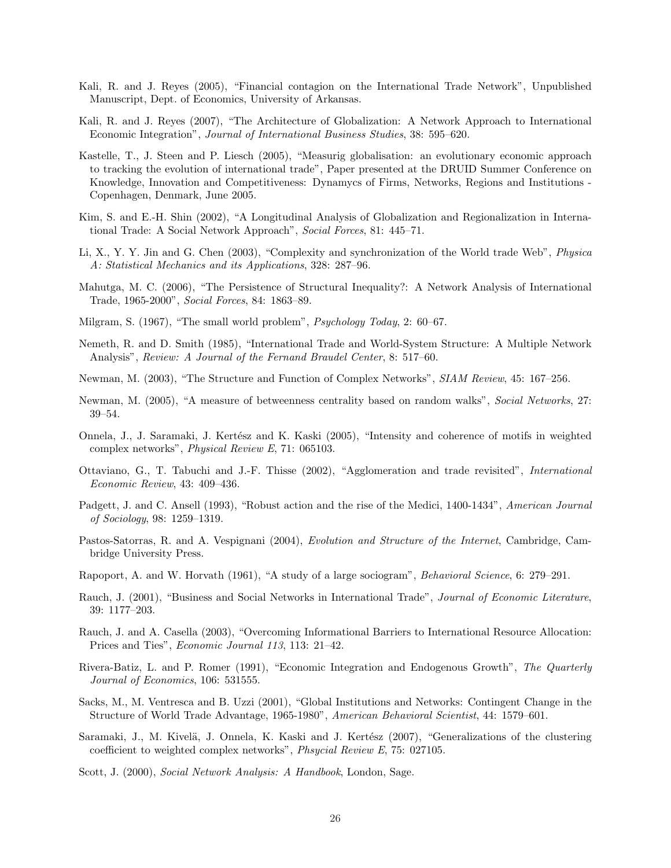- Kali, R. and J. Reyes (2005), "Financial contagion on the International Trade Network", Unpublished Manuscript, Dept. of Economics, University of Arkansas.
- Kali, R. and J. Reyes (2007), "The Architecture of Globalization: A Network Approach to International Economic Integration", Journal of International Business Studies, 38: 595–620.
- Kastelle, T., J. Steen and P. Liesch (2005), "Measurig globalisation: an evolutionary economic approach to tracking the evolution of international trade", Paper presented at the DRUID Summer Conference on Knowledge, Innovation and Competitiveness: Dynamycs of Firms, Networks, Regions and Institutions - Copenhagen, Denmark, June 2005.
- Kim, S. and E.-H. Shin (2002), "A Longitudinal Analysis of Globalization and Regionalization in International Trade: A Social Network Approach", Social Forces, 81: 445–71.
- Li, X., Y. Y. Jin and G. Chen (2003), "Complexity and synchronization of the World trade Web", Physica A: Statistical Mechanics and its Applications, 328: 287–96.
- Mahutga, M. C. (2006), "The Persistence of Structural Inequality?: A Network Analysis of International Trade, 1965-2000", Social Forces, 84: 1863–89.
- Milgram, S. (1967), "The small world problem", *Psychology Today*, 2: 60–67.
- Nemeth, R. and D. Smith (1985), "International Trade and World-System Structure: A Multiple Network Analysis", Review: A Journal of the Fernand Braudel Center, 8: 517–60.
- Newman, M. (2003), "The Structure and Function of Complex Networks", SIAM Review, 45: 167–256.
- Newman, M. (2005), "A measure of betweenness centrality based on random walks", Social Networks, 27: 39–54.
- Onnela, J., J. Saramaki, J. Kertész and K. Kaski (2005), "Intensity and coherence of motifs in weighted complex networks", Physical Review E, 71: 065103.
- Ottaviano, G., T. Tabuchi and J.-F. Thisse (2002), "Agglomeration and trade revisited", International Economic Review, 43: 409–436.
- Padgett, J. and C. Ansell (1993), "Robust action and the rise of the Medici, 1400-1434", American Journal of Sociology, 98: 1259–1319.
- Pastos-Satorras, R. and A. Vespignani (2004), Evolution and Structure of the Internet, Cambridge, Cambridge University Press.
- Rapoport, A. and W. Horvath (1961), "A study of a large sociogram", Behavioral Science, 6: 279–291.
- Rauch, J. (2001), "Business and Social Networks in International Trade", Journal of Economic Literature, 39: 1177–203.
- Rauch, J. and A. Casella (2003), "Overcoming Informational Barriers to International Resource Allocation: Prices and Ties", Economic Journal 113, 113: 21–42.
- Rivera-Batiz, L. and P. Romer (1991), "Economic Integration and Endogenous Growth", The Quarterly Journal of Economics, 106: 531555.
- Sacks, M., M. Ventresca and B. Uzzi (2001), "Global Institutions and Networks: Contingent Change in the Structure of World Trade Advantage, 1965-1980", American Behavioral Scientist, 44: 1579–601.
- Saramaki, J., M. Kivelä, J. Onnela, K. Kaski and J. Kertész (2007), "Generalizations of the clustering coefficient to weighted complex networks", Phsycial Review E, 75: 027105.
- Scott, J. (2000), Social Network Analysis: A Handbook, London, Sage.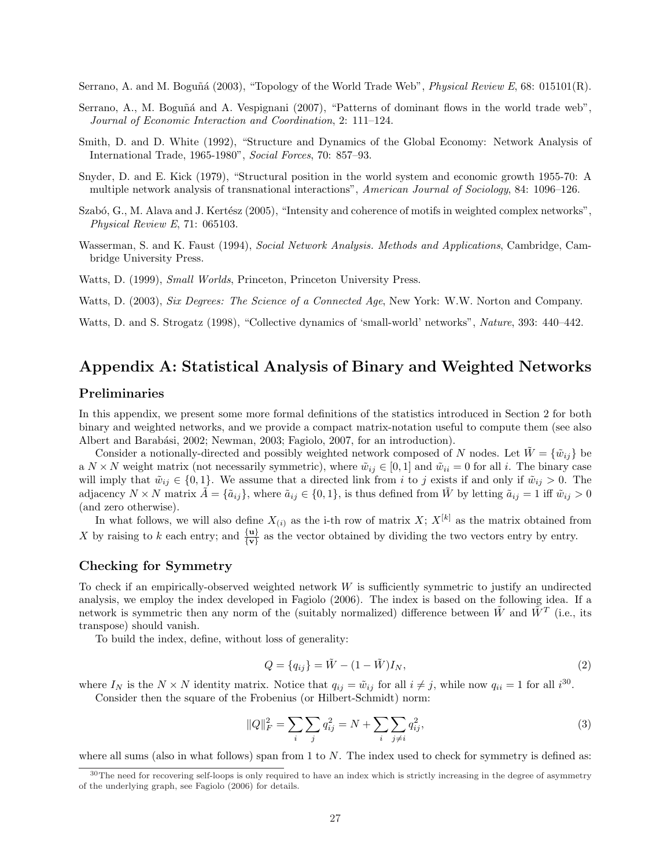Serrano, A. and M. Boguñá (2003), "Topology of the World Trade Web", *Physical Review E*, 68: 015101(R).

- Serrano, A., M. Boguñá and A. Vespignani (2007), "Patterns of dominant flows in the world trade web", Journal of Economic Interaction and Coordination, 2: 111–124.
- Smith, D. and D. White (1992), "Structure and Dynamics of the Global Economy: Network Analysis of International Trade, 1965-1980", Social Forces, 70: 857–93.
- Snyder, D. and E. Kick (1979), "Structural position in the world system and economic growth 1955-70: A multiple network analysis of transnational interactions", American Journal of Sociology, 84: 1096–126.
- Szabó, G., M. Alava and J. Kertész (2005), "Intensity and coherence of motifs in weighted complex networks", Physical Review E, 71: 065103.
- Wasserman, S. and K. Faust (1994), Social Network Analysis. Methods and Applications, Cambridge, Cambridge University Press.
- Watts, D. (1999), *Small Worlds*, Princeton, Princeton University Press.

Watts, D. (2003), Six Degrees: The Science of a Connected Age, New York: W.W. Norton and Company.

Watts, D. and S. Strogatz (1998), "Collective dynamics of 'small-world' networks", Nature, 393: 440–442.

# Appendix A: Statistical Analysis of Binary and Weighted Networks

#### Preliminaries

In this appendix, we present some more formal definitions of the statistics introduced in Section 2 for both binary and weighted networks, and we provide a compact matrix-notation useful to compute them (see also Albert and Barabási, 2002; Newman, 2003; Fagiolo, 2007, for an introduction).

Consider a notionally-directed and possibly weighted network composed of N nodes. Let  $W = \{w_{ij}\}\$ be a  $N \times N$  weight matrix (not necessarily symmetric), where  $\tilde{w}_{ij} \in [0,1]$  and  $\tilde{w}_{ii} = 0$  for all i. The binary case will imply that  $\tilde{w}_{ij} \in \{0,1\}$ . We assume that a directed link from i to j exists if and only if  $\tilde{w}_{ij} > 0$ . The adjacency  $N \times N$  matrix  $\tilde{A} = {\tilde{a}_{ij}}$ , where  $\tilde{a}_{ij} \in \{0,1\}$ , is thus defined from  $\tilde{W}$  by letting  $\tilde{a}_{ij} = 1$  iff  $\tilde{w}_{ij} > 0$ (and zero otherwise).

In what follows, we will also define  $X_{(i)}$  as the i-th row of matrix  $X; X^{[k]}$  as the matrix obtained from X by raising to k each entry; and  $\frac{\{u\}}{\{v\}}$  as the vector obtained by dividing the two vectors entry by entry.

#### Checking for Symmetry

To check if an empirically-observed weighted network  $W$  is sufficiently symmetric to justify an undirected analysis, we employ the index developed in Fagiolo (2006). The index is based on the following idea. If a network is symmetric then any norm of the (suitably normalized) difference between  $\tilde{W}$  and  $\tilde{W}^T$  (i.e., its transpose) should vanish.

To build the index, define, without loss of generality:

$$
Q = \{q_{ij}\} = \tilde{W} - (1 - \tilde{W})I_N,
$$
\n(2)

where  $I_N$  is the  $N \times N$  identity matrix. Notice that  $q_{ij} = \tilde{w}_{ij}$  for all  $i \neq j$ , while now  $q_{ii} = 1$  for all  $i^{30}$ . Consider then the square of the Frobenius (or Hilbert-Schmidt) norm:

$$
||Q||_F^2 = \sum_i \sum_j q_{ij}^2 = N + \sum_i \sum_{j \neq i} q_{ij}^2,
$$
\n(3)

where all sums (also in what follows) span from 1 to  $N$ . The index used to check for symmetry is defined as:

 $30$ The need for recovering self-loops is only required to have an index which is strictly increasing in the degree of asymmetry of the underlying graph, see Fagiolo (2006) for details.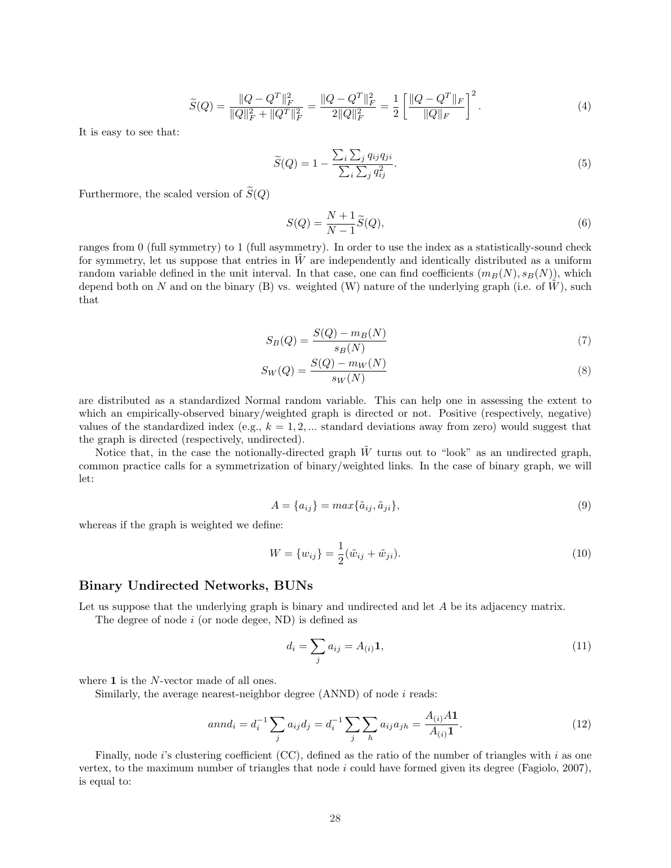$$
\widetilde{S}(Q) = \frac{\|Q - Q^T\|_F^2}{\|Q\|_F^2 + \|Q^T\|_F^2} = \frac{\|Q - Q^T\|_F^2}{2\|Q\|_F^2} = \frac{1}{2} \left[ \frac{\|Q - Q^T\|_F}{\|Q\|_F} \right]^2.
$$
\n(4)

It is easy to see that:

$$
\widetilde{S}(Q) = 1 - \frac{\sum_{i} \sum_{j} q_{ij} q_{ji}}{\sum_{i} \sum_{j} q_{ij}^2}.
$$
\n
$$
(5)
$$

Furthermore, the scaled version of  $\widetilde{S}(Q)$ 

$$
S(Q) = \frac{N+1}{N-1}\widetilde{S}(Q),\tag{6}
$$

ranges from 0 (full symmetry) to 1 (full asymmetry). In order to use the index as a statistically-sound check for symmetry, let us suppose that entries in  $\hat{W}$  are independently and identically distributed as a uniform random variable defined in the unit interval. In that case, one can find coefficients  $(m_B(N), s_B(N))$ , which depend both on N and on the binary (B) vs. weighted (W) nature of the underlying graph (i.e. of  $W$ ), such that

$$
S_B(Q) = \frac{S(Q) - m_B(N)}{s_B(N)}\tag{7}
$$

$$
S_W(Q) = \frac{S(Q) - m_W(N)}{s_W(N)}\tag{8}
$$

are distributed as a standardized Normal random variable. This can help one in assessing the extent to which an empirically-observed binary/weighted graph is directed or not. Positive (respectively, negative) values of the standardized index (e.g.,  $k = 1, 2, ...$  standard deviations away from zero) would suggest that the graph is directed (respectively, undirected).

Notice that, in the case the notionally-directed graph  $\tilde{W}$  turns out to "look" as an undirected graph, common practice calls for a symmetrization of binary/weighted links. In the case of binary graph, we will let:

$$
A = \{a_{ij}\} = max\{\tilde{a}_{ij}, \tilde{a}_{ji}\},\tag{9}
$$

whereas if the graph is weighted we define:

$$
W = \{w_{ij}\} = \frac{1}{2}(\tilde{w}_{ij} + \tilde{w}_{ji}).
$$
\n(10)

#### Binary Undirected Networks, BUNs

Let us suppose that the underlying graph is binary and undirected and let A be its adjacency matrix.

The degree of node  $i$  (or node degee, ND) is defined as

$$
d_i = \sum_j a_{ij} = A_{(i)} \mathbf{1},\tag{11}
$$

where 1 is the N-vector made of all ones.

Similarly, the average nearest-neighbor degree  $(ANND)$  of node  $i$  reads:

$$
annd_i = d_i^{-1} \sum_j a_{ij} d_j = d_i^{-1} \sum_j \sum_h a_{ij} a_{jh} = \frac{A_{(i)} A \mathbf{1}}{A_{(i)} \mathbf{1}}.
$$
\n(12)

Finally, node i's clustering coefficient (CC), defined as the ratio of the number of triangles with i as one vertex, to the maximum number of triangles that node i could have formed given its degree (Fagiolo, 2007), is equal to: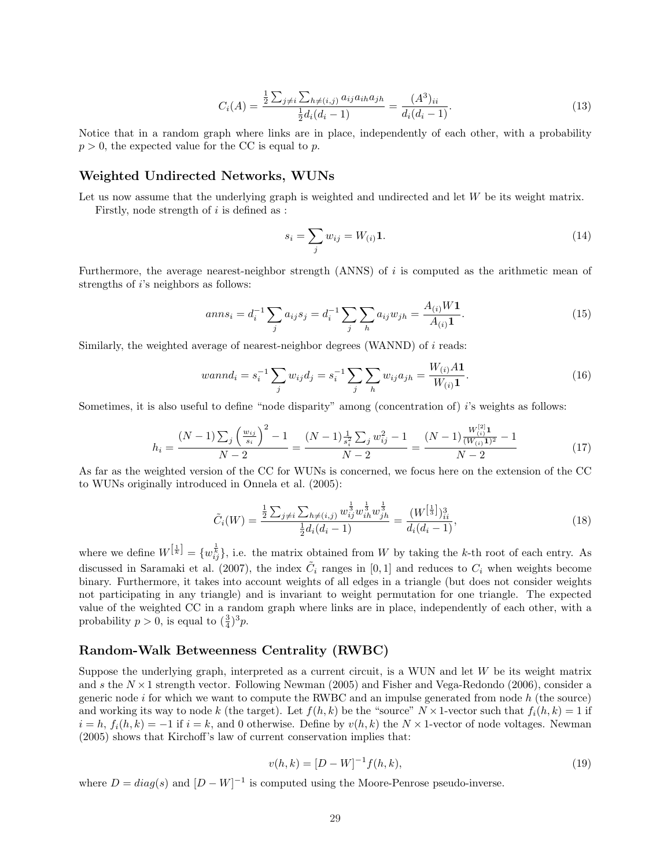$$
C_i(A) = \frac{\frac{1}{2} \sum_{j \neq i} \sum_{h \neq (i,j)} a_{ij} a_{ih} a_{jh}}{\frac{1}{2} d_i (d_i - 1)} = \frac{(A^3)_{ii}}{d_i (d_i - 1)}.
$$
\n(13)

Notice that in a random graph where links are in place, independently of each other, with a probability  $p > 0$ , the expected value for the CC is equal to p.

#### Weighted Undirected Networks, WUNs

Let us now assume that the underlying graph is weighted and undirected and let  $W$  be its weight matrix.

Firstly, node strength of  $i$  is defined as :

$$
s_i = \sum_j w_{ij} = W_{(i)} \mathbf{1}.
$$
 (14)

Furthermore, the average nearest-neighbor strength (ANNS) of i is computed as the arithmetic mean of strengths of *i*'s neighbors as follows:

ann<sub>s<sub>i</sub></sub> = 
$$
d_i^{-1} \sum_j a_{ij} s_j = d_i^{-1} \sum_j \sum_h a_{ij} w_{jh} = \frac{A_{(i)} W \mathbf{1}}{A_{(i)} \mathbf{1}}.
$$
 (15)

Similarly, the weighted average of nearest-neighbor degrees (WANND) of i reads:

$$
wannd_i = s_i^{-1} \sum_j w_{ij} d_j = s_i^{-1} \sum_j \sum_h w_{ij} a_{jh} = \frac{W_{(i)} A \mathbf{1}}{W_{(i)} \mathbf{1}}.
$$
\n(16)

Sometimes, it is also useful to define "node disparity" among (concentration of) i's weights as follows:

$$
h_i = \frac{(N-1)\sum_j \left(\frac{w_{ij}}{s_i}\right)^2 - 1}{N-2} = \frac{(N-1)\frac{1}{s_i^2}\sum_j w_{ij}^2 - 1}{N-2} = \frac{(N-1)\frac{W_{(i)}^{[2]}\mathbf{1}}{(W_{(i)}\mathbf{1})^2} - 1}{N-2}
$$
(17)

As far as the weighted version of the CC for WUNs is concerned, we focus here on the extension of the CC to WUNs originally introduced in Onnela et al. (2005):

$$
\tilde{C}_i(W) = \frac{\frac{1}{2} \sum_{j \neq i} \sum_{h \neq (i,j)} w_{ij}^{\frac{1}{3}} w_{ih}^{\frac{1}{3}} w_{jh}^{\frac{1}{3}}}{\frac{1}{2} d_i (d_i - 1)} = \frac{(W^{\left[\frac{1}{3}\right]})_{ii}^3}{d_i (d_i - 1)},\tag{18}
$$

where we define  $W^{\left[\frac{1}{k}\right]} = \{w_{ij}^{\frac{1}{k}}\},\$ i.e. the matrix obtained from W by taking the k-th root of each entry. As discussed in Saramaki et al. (2007), the index  $\tilde{C}_i$  ranges in [0,1] and reduces to  $C_i$  when weights become binary. Furthermore, it takes into account weights of all edges in a triangle (but does not consider weights not participating in any triangle) and is invariant to weight permutation for one triangle. The expected value of the weighted CC in a random graph where links are in place, independently of each other, with a probability  $p > 0$ , is equal to  $(\frac{3}{4})^3 p$ .

#### Random-Walk Betweenness Centrality (RWBC)

Suppose the underlying graph, interpreted as a current circuit, is a WUN and let  $W$  be its weight matrix and s the  $N \times 1$  strength vector. Following Newman (2005) and Fisher and Vega-Redondo (2006), consider a generic node  $i$  for which we want to compute the RWBC and an impulse generated from node  $h$  (the source) and working its way to node k (the target). Let  $f(h, k)$  be the "source"  $N \times 1$ -vector such that  $f_i(h, k) = 1$  if  $i = h, f_i(h, k) = -1$  if  $i = k$ , and 0 otherwise. Define by  $v(h, k)$  the  $N \times 1$ -vector of node voltages. Newman (2005) shows that Kirchoff's law of current conservation implies that:

$$
v(h,k) = [D - W]^{-1} f(h,k),
$$
\n(19)

where  $D = diag(s)$  and  $[D - W]^{-1}$  is computed using the Moore-Penrose pseudo-inverse.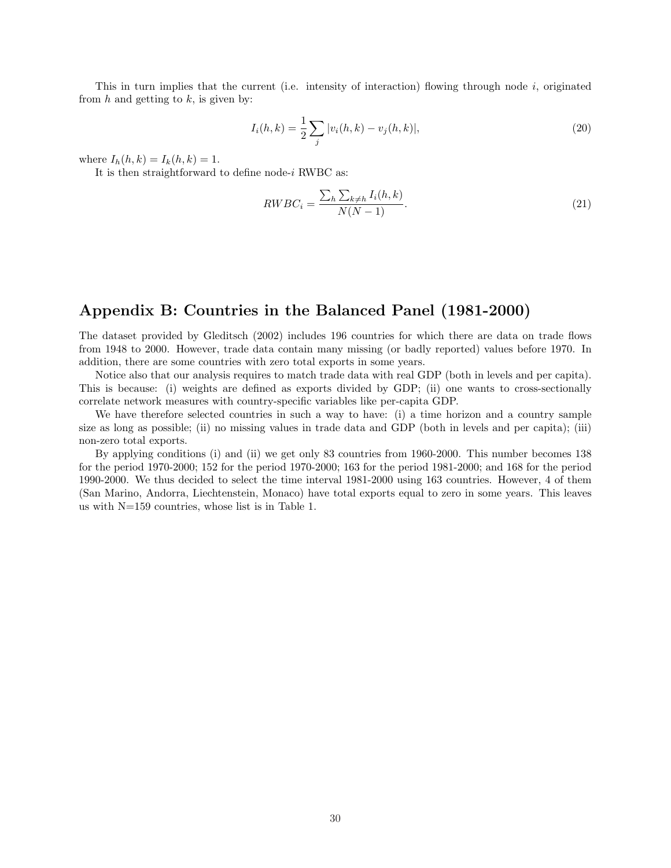This in turn implies that the current (i.e. intensity of interaction) flowing through node  $i$ , originated from  $h$  and getting to  $k$ , is given by:

$$
I_i(h,k) = \frac{1}{2} \sum_j |v_i(h,k) - v_j(h,k)|,
$$
\n(20)

where  $I_h(h, k) = I_k(h, k) = 1$ .

It is then straightforward to define node- $i$  RWBC as:

$$
RWBC_i = \frac{\sum_h \sum_{k \neq h} I_i(h, k)}{N(N-1)}.
$$
\n
$$
(21)
$$

## Appendix B: Countries in the Balanced Panel (1981-2000)

The dataset provided by Gleditsch (2002) includes 196 countries for which there are data on trade flows from 1948 to 2000. However, trade data contain many missing (or badly reported) values before 1970. In addition, there are some countries with zero total exports in some years.

Notice also that our analysis requires to match trade data with real GDP (both in levels and per capita). This is because: (i) weights are defined as exports divided by GDP; (ii) one wants to cross-sectionally correlate network measures with country-specific variables like per-capita GDP.

We have therefore selected countries in such a way to have: (i) a time horizon and a country sample size as long as possible; (ii) no missing values in trade data and GDP (both in levels and per capita); (iii) non-zero total exports.

By applying conditions (i) and (ii) we get only 83 countries from 1960-2000. This number becomes 138 for the period 1970-2000; 152 for the period 1970-2000; 163 for the period 1981-2000; and 168 for the period 1990-2000. We thus decided to select the time interval 1981-2000 using 163 countries. However, 4 of them (San Marino, Andorra, Liechtenstein, Monaco) have total exports equal to zero in some years. This leaves us with N=159 countries, whose list is in Table 1.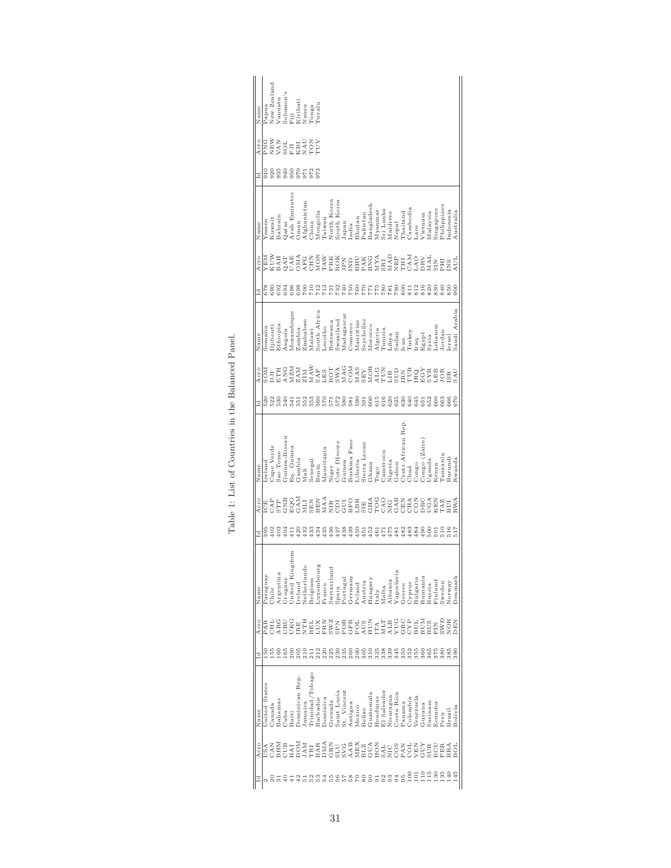| Name |               | Papua<br>New Zealand | Vanuatu         | Solomon's     | Fiji                 | Kiribati       | Nauru       | <sub>L</sub> onga<br>Luvalu |                |                 |                    |                     |            |                |            |                |                   |                |             |                         |                   |                          |                           |                    |               |                |            |                         |                 |              |
|------|---------------|----------------------|-----------------|---------------|----------------------|----------------|-------------|-----------------------------|----------------|-----------------|--------------------|---------------------|------------|----------------|------------|----------------|-------------------|----------------|-------------|-------------------------|-------------------|--------------------------|---------------------------|--------------------|---------------|----------------|------------|-------------------------|-----------------|--------------|
| Acro | O<br>Z        | NEW                  | <b>NAN</b>      | 5OL           | Ę                    | IEIX.          | JAU         | PON                         | Pu             |                 |                    |                     |            |                |            |                |                   |                |             |                         |                   |                          |                           |                    |               |                |            |                         |                 |              |
| ₫    |               | 920                  | 935             | 040           | 950                  | 970            | 971         | 972                         | 973            |                 |                    |                     |            |                |            |                |                   |                |             |                         |                   |                          |                           |                    |               |                |            |                         |                 |              |
| Name | emen)         | Xuwait               | 3 ahrain        | <b>Qatar</b>  | <b>Arab</b> Emirates | man            | Afghanistan | <b>China</b>                | dongolia       | Paiwan          | <b>Vorth Korea</b> | South Korea         | Japan      | India          | 3hutan     | akistan        | <b>Bangladesh</b> | Myanmar        | sri Lanka   | daldives                | Nepal<br>Thailand |                          | Jambodia                  | aos                | /ietnam       | Aalaysia       | ingapore   | <sup>2</sup> hilippines | ndonesia        | Australia    |
| Acro | ×<br>ER       | KUN                  | BAH             | TYC           | <b>UAE</b>           | <b>OMA</b>     | AFG         | CHN                         | MON            | TAW             | PRK                | ROK                 | JPN        | Ê              | <b>DEB</b> | PAK            | BNG               | MYA            | SRI         | MAL                     | <b>NEP</b>        | FHI                      | CAM                       | <b>CAO</b>         | DRV           | MAL            | SIN        | ΞE                      | NS              | AUL          |
| ੁ    | 678           | 690                  | 392             | 694           | 696                  | 698            | $^{700}$    | 710                         | 712            | 713             | 731                | 732                 | 740        | 750            | 760        | 770            | 171               | 775            | 780         | ë,                      | 790               | 800                      | $\frac{1}{3}$             |                    | 816           | 820            | 830        | 840                     | 850             | 900          |
| Name | somalia       | <b>Ojibouti</b>      | <b>Ethiopia</b> | Angola        | Mozambique           | Zambia         | Zimbabwe    | Malawi                      | South Africa   | Lesotho         | Botswana           | Swaziland           | Madagascar | <b>Comoros</b> | Mauritius  | Seychelles     | Morocco           | Algeria        | Punisia     | Libya                   | sudan             | ran                      | <b>Turkey</b>             | raq                | Egypt         | syria          | ronado.    | Jordan                  | srael           | Saudi Arabia |
| Acro | 30X           | Ξ                    | ETH             |               | ANG<br>MZM           | ZAM            | ZIM<br>MAW  |                             | SAF<br>LES     |                 | BOT                | SWA                 | MAG        | COM            | MAS        | $_{Y\to S}$    | MOR               | ALG            | TUN         | E                       | dus               |                          | <b>HHQ<br/>FDQ</b><br>ECY |                    |               | <b>SYR</b>     | <b>HOR</b> |                         | SR              | SAU          |
| ₫    | 522<br>522    |                      | $\frac{5}{3}$   | 540           | 541                  | 551            | 552         | 553                         | 560            | 570             | 571                | 572                 | 580        | 581            | 590        | 591            | 600               | 615            | 616         | 320                     | 325               | 330                      | 340                       | 545                | 651           | 552            | 660        | 663                     | 666             | 670          |
| Name | celand        | Cape Verde           | Sao Tome        | Guinea-Bissau | Eq. Guinea           | Gambia         | Mali        | Senegal                     | Benin          | Mauritania      | Niger              | <b>Cote DIvoire</b> | Guinea     | Burkina Faso   | iberia     | Sierra Leone   | Ghana             | Pogo           | Jameroon    | Vigeria                 | Gabon             | <b>Jentr African Rep</b> | Chad                      | Jongo              | Congo (Zaire) | Jganda         | Senya      | anzania                 | Burundi         | Rwanda       |
| Acro | 凹             | <b>AP</b>            | SТP             |               | GNB<br>EQG           | GAM            | NILI        | SEN                         | BEN            | MAA             | NIR.               | E                   | 5<br>U     | BFO            | LBR        | SIE            | GHA               | TOG            | CAO         | <b>NIG</b>              | GAB               | <b>NBC</b>               | CHA                       | NOC                | DRC           | JGA            | <b>NHX</b> | <b>PAZ</b>              | BUI             | RWA          |
| 겹    | 395           | $\frac{2}{2}$        | $\frac{3}{2}$   | $\frac{4}{3}$ |                      | 120            | 132         | 133                         | $\frac{34}{3}$ | $\frac{5}{3}$   | 136                | 137                 | 138        | $\frac{9}{2}$  | 150        | ē              | 152               | 461            | Ë           | čZ.                     | $\frac{18}{2}$    | 182                      | 183                       | 184                | 190           | $\frac{50}{2}$ | 501        | 510                     | 516             | 517          |
| Name | Paraguay      | Chile                | Argentina       | Jruguay       | Jnited Kingdom       | Ireland        | Netherlands | <b>Belgium</b>              | anoquizeri     | France          | Switzerland        | Spain               | Portuga    | Germany        | Poland     | Austria        | Hungary           | (taly          | Malta       | lbania.                 | ugoslavia         | Greece                   |                           | Cyprus<br>Bulgaria | Rumania       | Russia         | Vinland    | sweden                  | Vorway          | Denmark      |
| Acro |               |                      | ğ               | Ē             | JK                   | RE             | Ę           | 固                           | S              | È               | SW <sub>Z</sub>    | SPN                 | POR        | E<br>FF        | ā          | šūv            | Ë                 | É              | Ę           | Ë                       | č                 | CRC<br>CD                | ËX                        | БI                 | λUΝ           | ξΩ             |            | ş                       | NO <sub>F</sub> | DEN          |
|      |               |                      |                 |               |                      |                |             |                             |                | 22(             | 225                | 230                 | 235        | 26(            | 29(        | $\frac{30}{3}$ | $\frac{1}{3}$     | 325            | 338         |                         | $\ddot{34}$       | $\frac{5}{6}$            |                           |                    |               |                |            | ă                       | 385             | S90          |
| Name | Jnited States | Canada               | 3ahamas         | <b>Juba</b>   | <b>Iaiti</b>         | Jominican Rep. | Jamaica     | Trinidad/Tobago             | 3arbados       | <b>Dominica</b> | Frenada            | Saint Lucia         | St. Vincen | Antigua        | Mexico     | <b>Belize</b>  | Guatemala         | Honduras       | El Salvador | Nicaragua<br>Costa Rica |                   | $a$ nama                 | <b>Colombia</b>           | /enezuela          | Guyana        | surinam        | Ecuador    | eru                     | 3razi           | 3olivia      |
| Acro | rSA           | CAN                  | BHN             | Ë             | EKE                  | ΟŐ             | JAM         | <b>TRI</b>                  | <b>BAR</b>     | <b>DMA</b>      | GRN                | <b>OTIS</b>         | SVG        | AAB            | MEX<br>BLZ |                | ĞUŹ               | HON            | SAL         | E                       | č                 | PAN                      | <b>COL</b><br>VEN         |                    | د ن<br>5      | SUR            | ដូ         | PER                     | BRA             | BOL          |
|      |               |                      |                 |               |                      |                |             |                             |                |                 |                    | ă                   |            | 3              |            |                |                   | $\overline{5}$ |             |                         |                   |                          | $\frac{1}{2}$             |                    |               |                | $^{130}$   | 135                     | 140             | 145          |

Table 1: List of Countries in the Balanced Panel. Table 1: List of Countries in the Balanced Panel.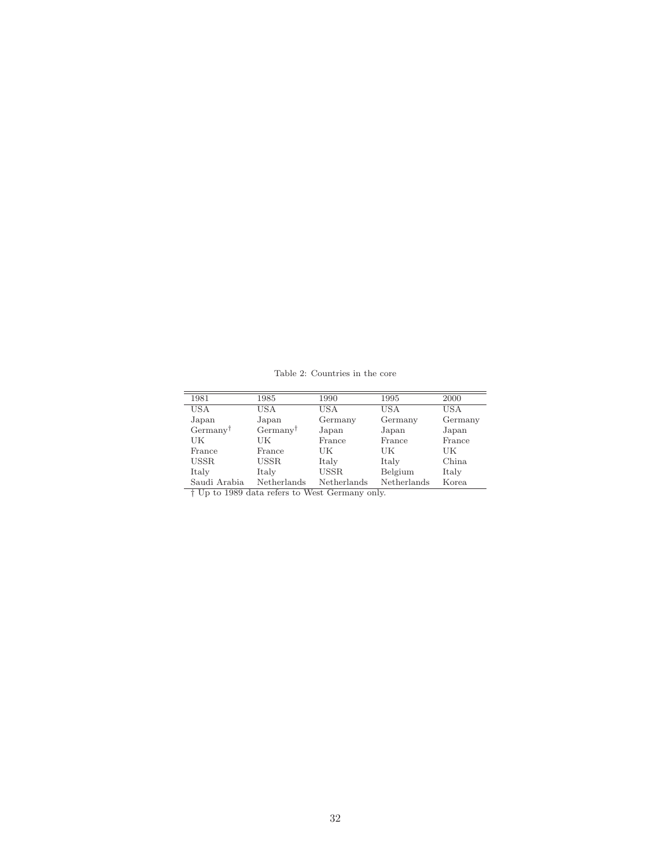Table 2: Countries in the core

| 1981                   | 1985                | 1990        | 1995        | 2000    |
|------------------------|---------------------|-------------|-------------|---------|
| <b>USA</b>             | USA                 | USA         | USA         | USA     |
| Japan                  | Japan               | Germany     | Germany     | Germany |
| $Germany$ <sup>†</sup> | $Germanv^{\dagger}$ | Japan       | Japan       | Japan   |
| UK                     | UK                  | France      | France      | France  |
| France                 | France              | UK          | UК          | UК      |
| <b>USSR</b>            | USSR                | Italy       | Italy       | China   |
| Italy                  | Italy               | <b>USSR</b> | Belgium     | Italy   |
| Saudi Arabia           | Netherlands         | Netherlands | Netherlands | Korea   |

† Up to 1989 data refers to West Germany only.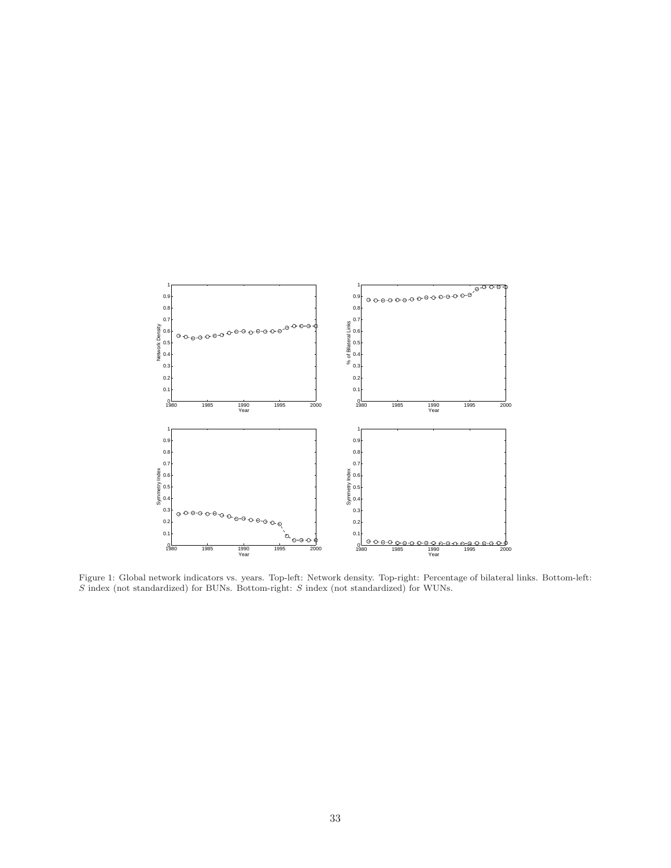

Figure 1: Global network indicators vs. years. Top-left: Network density. Top-right: Percentage of bilateral links. Bottom-left:  $S$  index (not standardized) for BUNs. Bottom-right:  $S$  index (not standardized) for WUNs.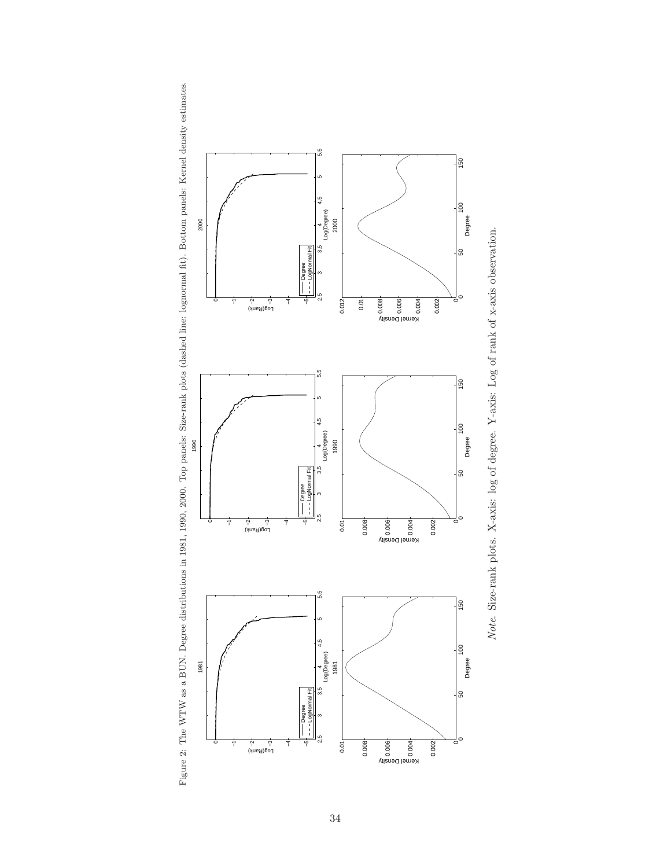



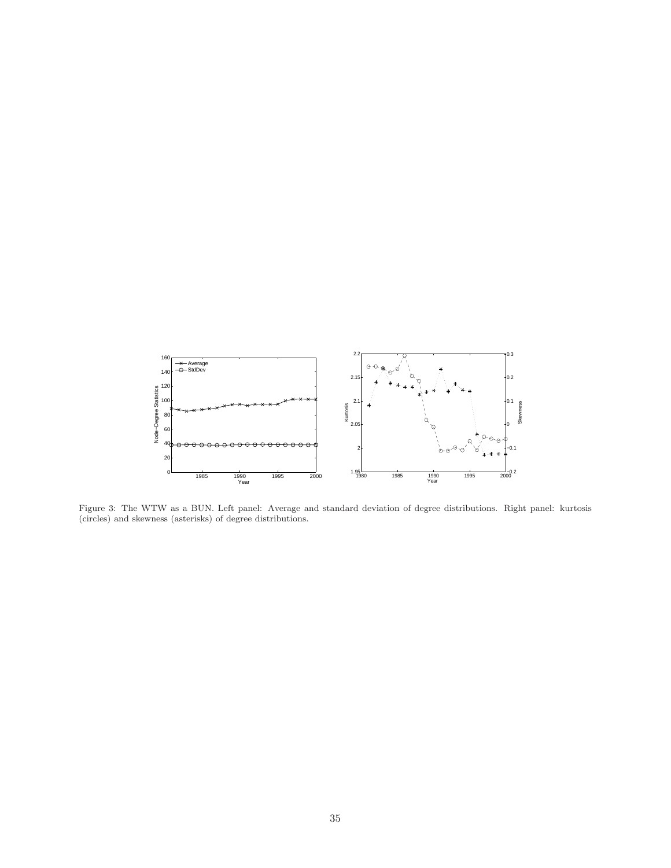

Figure 3: The WTW as a BUN. Left panel: Average and standard deviation of degree distributions. Right panel: kurtosis (circles) and skewness (asterisks) of degree distributions.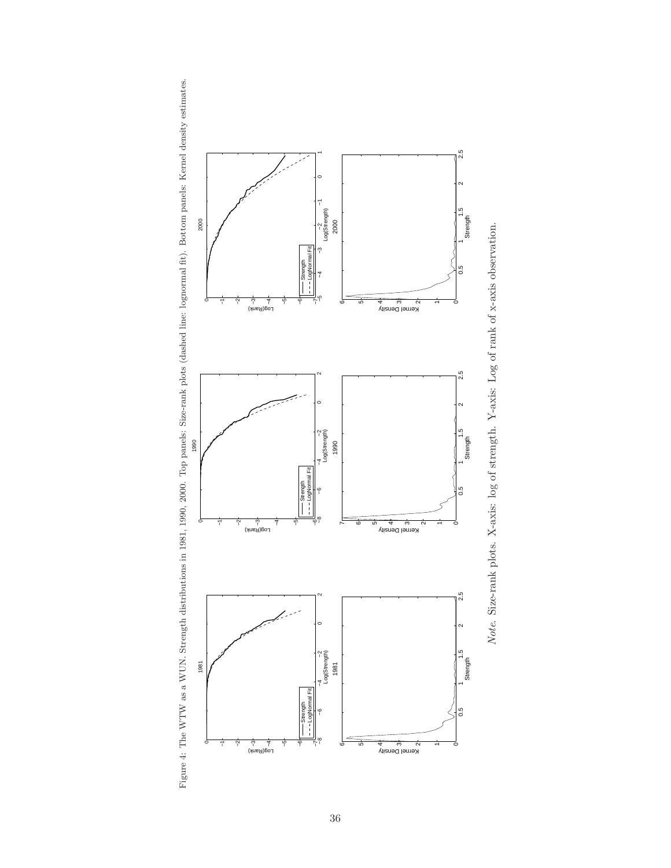

Note. Size-rank plots. X-axis: log of strength. Y-axis: Log of rank of x-axis observation.

Note. Size-rank plots. X-axis: log of strength. Y-axis: Log of rank of x-axis observation.

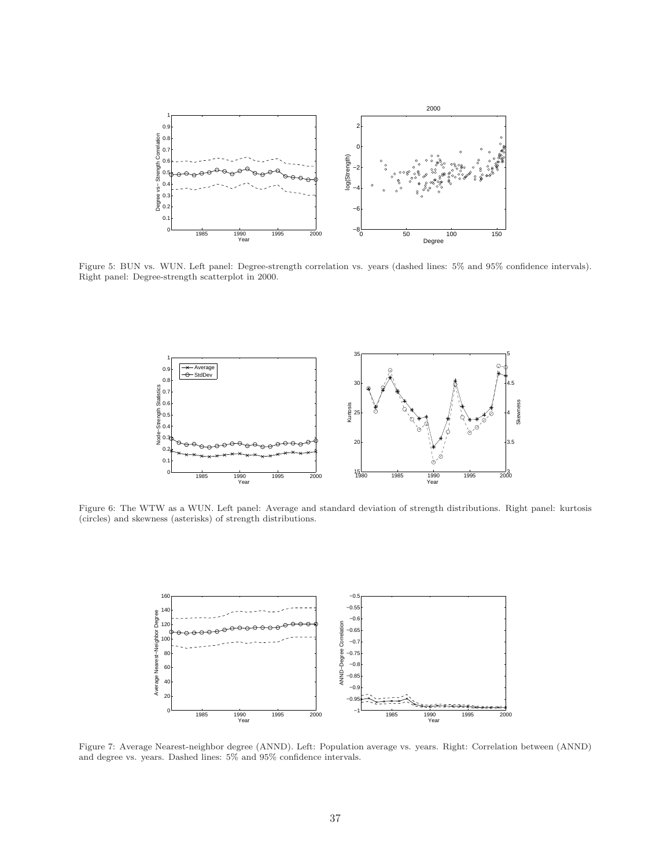

Figure 5: BUN vs. WUN. Left panel: Degree-strength correlation vs. years (dashed lines: 5% and 95% confidence intervals). Right panel: Degree-strength scatterplot in 2000.



Figure 6: The WTW as a WUN. Left panel: Average and standard deviation of strength distributions. Right panel: kurtosis (circles) and skewness (asterisks) of strength distributions.



Figure 7: Average Nearest-neighbor degree (ANND). Left: Population average vs. years. Right: Correlation between (ANND) and degree vs. years. Dashed lines:  $5\%$  and  $95\%$  confidence intervals.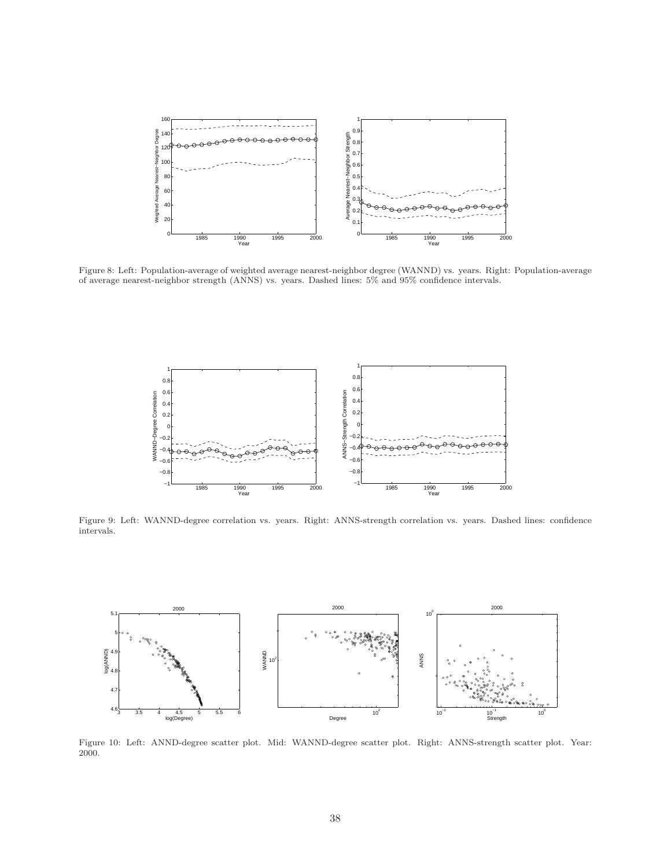

Figure 8: Left: Population-average of weighted average nearest-neighbor degree (WANND) vs. years. Right: Population-average of average nearest-neighbor strength (ANNS) vs. years. Dashed lines: 5% and 95% confidence intervals.



Figure 9: Left: WANND-degree correlation vs. years. Right: ANNS-strength correlation vs. years. Dashed lines: confidence intervals.



Figure 10: Left: ANND-degree scatter plot. Mid: WANND-degree scatter plot. Right: ANNS-strength scatter plot. Year: 2000.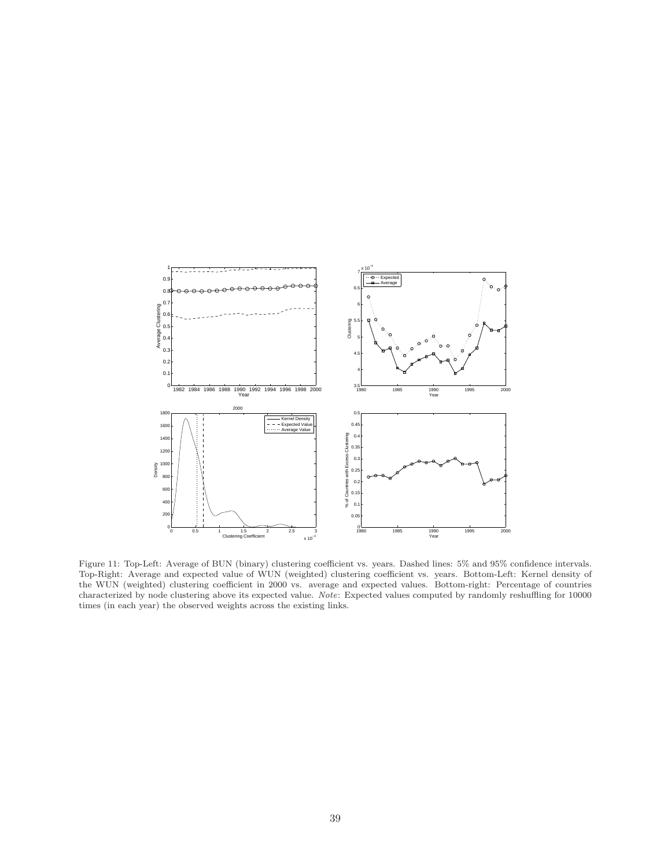

Figure 11: Top-Left: Average of BUN (binary) clustering coefficient vs. years. Dashed lines: 5% and 95% confidence intervals. Top-Right: Average and expected value of WUN (weighted) clustering coefficient vs. years. Bottom-Left: Kernel density of the WUN (weighted) clustering coefficient in 2000 vs. average and expected values. Bottom-right: Percentage of countries characterized by node clustering above its expected value. Note: Expected values computed by randomly reshuffling for 10000 times (in each year) the observed weights across the existing links.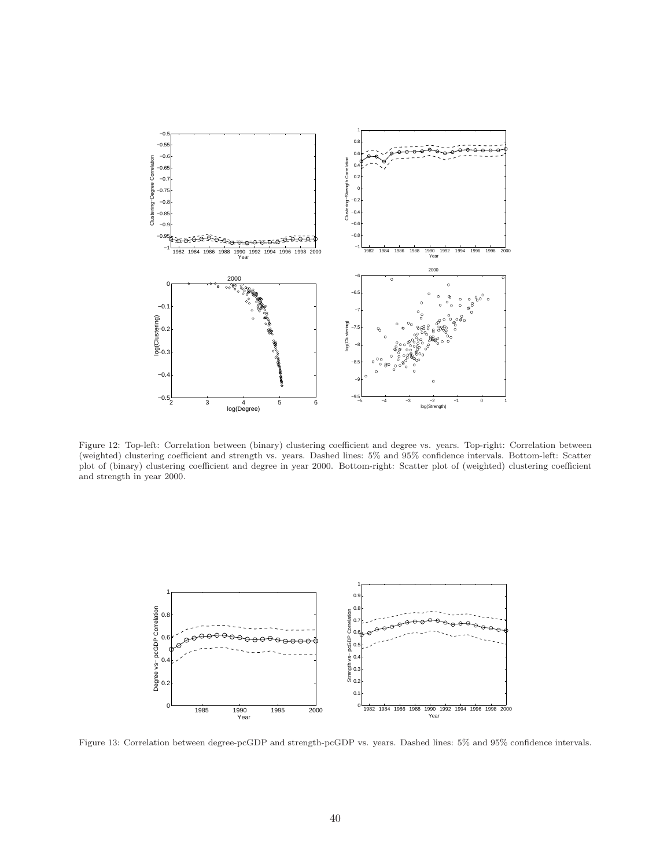

Figure 12: Top-left: Correlation between (binary) clustering coefficient and degree vs. years. Top-right: Correlation between (weighted) clustering coefficient and strength vs. years. Dashed lines: 5% and 95% confidence intervals. Bottom-left: Scatter plot of (binary) clustering coefficient and degree in year 2000. Bottom-right: Scatter plot of (weighted) clustering coefficient and strength in year 2000.



Figure 13: Correlation between degree-pcGDP and strength-pcGDP vs. years. Dashed lines: 5% and 95% confidence intervals.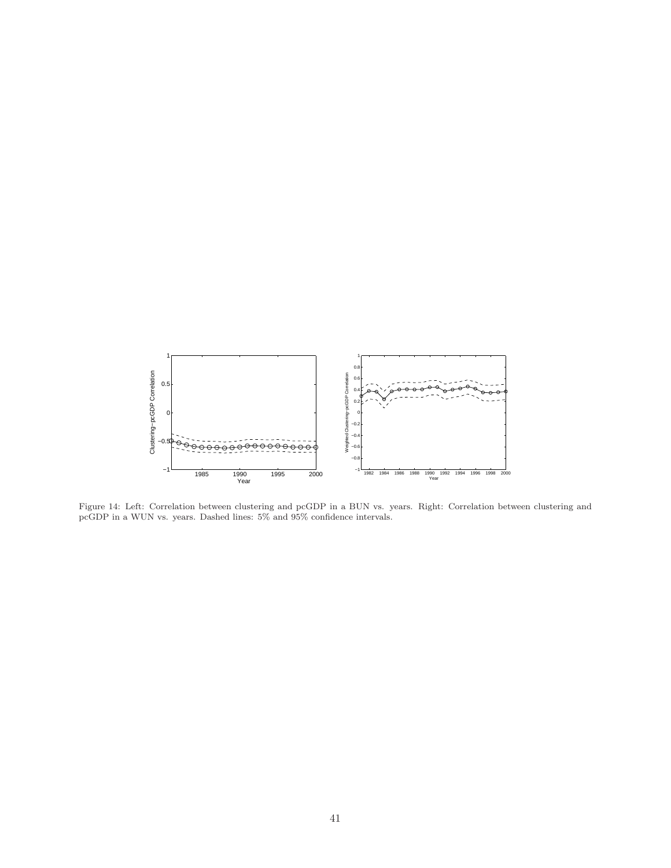

Figure 14: Left: Correlation between clustering and pcGDP in a BUN vs. years. Right: Correlation between clustering and pcGDP in a WUN vs. years. Dashed lines: 5% and 95% confidence intervals.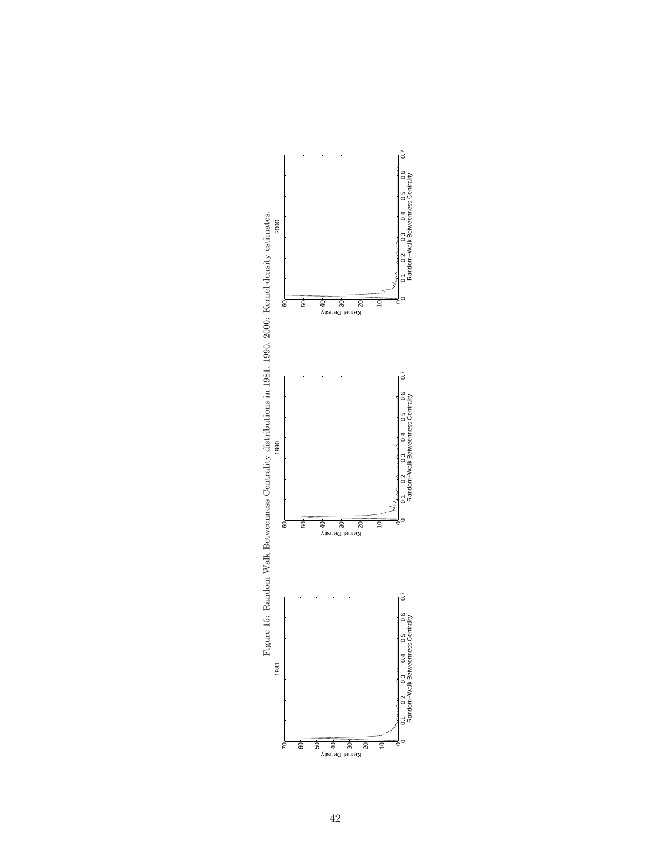